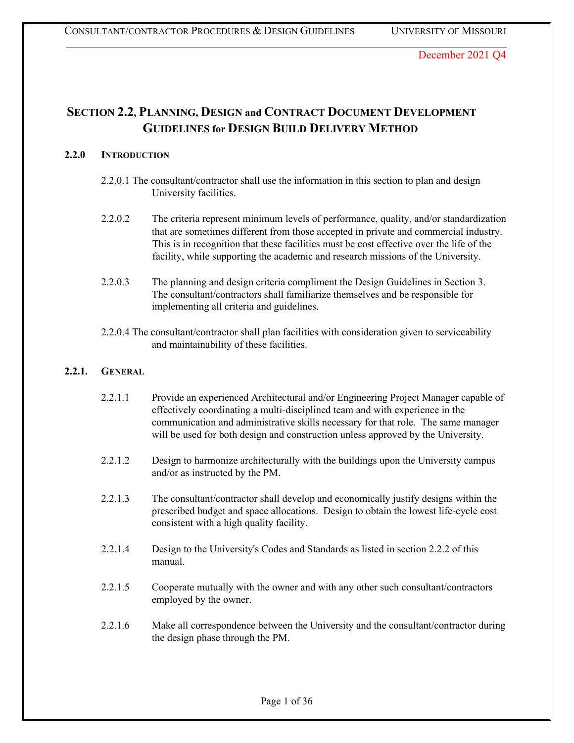# **SECTION 2.2, PLANNING, DESIGN and CONTRACT DOCUMENT DEVELOPMENT GUIDELINES for DESIGN BUILD DELIVERY METHOD**

# **2.2.0 INTRODUCTION**

- 2.2.0.1 The consultant/contractor shall use the information in this section to plan and design University facilities.
- 2.2.0.2 The criteria represent minimum levels of performance, quality, and/or standardization that are sometimes different from those accepted in private and commercial industry. This is in recognition that these facilities must be cost effective over the life of the facility, while supporting the academic and research missions of the University.
- 2.2.0.3 The planning and design criteria compliment the Design Guidelines in Section 3. The consultant/contractors shall familiarize themselves and be responsible for implementing all criteria and guidelines.
- 2.2.0.4 The consultant/contractor shall plan facilities with consideration given to serviceability and maintainability of these facilities.

# **2.2.1. GENERAL**

- 2.2.1.1 Provide an experienced Architectural and/or Engineering Project Manager capable of effectively coordinating a multi-disciplined team and with experience in the communication and administrative skills necessary for that role. The same manager will be used for both design and construction unless approved by the University.
- 2.2.1.2 Design to harmonize architecturally with the buildings upon the University campus and/or as instructed by the PM.
- 2.2.1.3 The consultant/contractor shall develop and economically justify designs within the prescribed budget and space allocations. Design to obtain the lowest life-cycle cost consistent with a high quality facility.
- 2.2.1.4 Design to the University's Codes and Standards as listed in section 2.2.2 of this manual.
- 2.2.1.5 Cooperate mutually with the owner and with any other such consultant/contractors employed by the owner.
- 2.2.1.6 Make all correspondence between the University and the consultant/contractor during the design phase through the PM.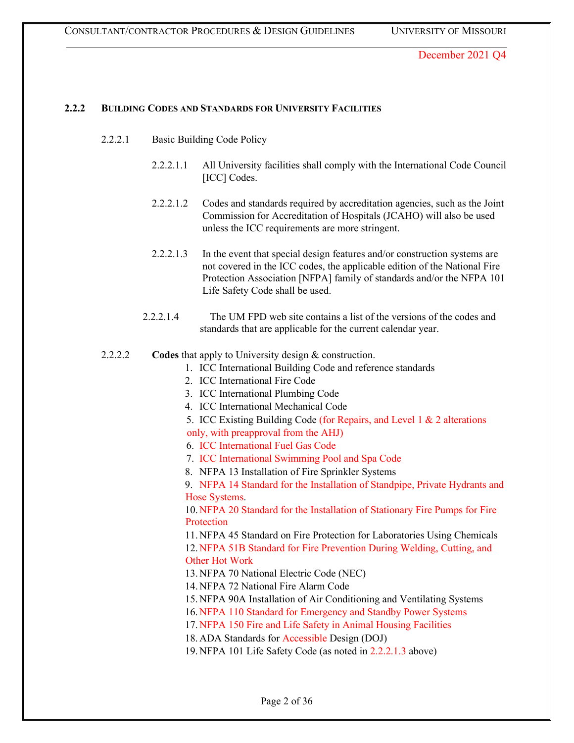### **2.2.2 BUILDING CODES AND STANDARDS FOR UNIVERSITY FACILITIES**

- 2.2.2.1 Basic Building Code Policy
	- 2.2.2.1.1 All University facilities shall comply with the International Code Council [ICC] Codes.
	- 2.2.2.1.2 Codes and standards required by accreditation agencies, such as the Joint Commission for Accreditation of Hospitals (JCAHO) will also be used unless the ICC requirements are more stringent.
	- 2.2.2.1.3 In the event that special design features and/or construction systems are not covered in the ICC codes, the applicable edition of the National Fire Protection Association [NFPA] family of standards and/or the NFPA 101 Life Safety Code shall be used.
	- 2.2.2.1.4 The UM FPD web site contains a list of the versions of the codes and standards that are applicable for the current calendar year.
- 2.2.2.2 **Codes** that apply to University design & construction.
	- 1. ICC International Building Code and reference standards
		- 2. ICC International Fire Code
		- 3. ICC International Plumbing Code
	- 4. ICC International Mechanical Code
	- 5. ICC Existing Building Code (for Repairs, and Level 1 & 2 alterations
	- only, with preapproval from the AHJ)
	- 6. ICC International Fuel Gas Code
	- 7. ICC International Swimming Pool and Spa Code
	- 8. NFPA 13 Installation of Fire Sprinkler Systems

9. NFPA 14 Standard for the Installation of Standpipe, Private Hydrants and Hose Systems.

10. NFPA 20 Standard for the Installation of Stationary Fire Pumps for Fire Protection

11. NFPA 45 Standard on Fire Protection for Laboratories Using Chemicals 12. NFPA 51B Standard for Fire Prevention During Welding, Cutting, and Other Hot Work

- 13. NFPA 70 National Electric Code (NEC)
- 14. NFPA 72 National Fire Alarm Code
- 15. NFPA 90A Installation of Air Conditioning and Ventilating Systems
- 16. NFPA 110 Standard for Emergency and Standby Power Systems
- 17. NFPA 150 Fire and Life Safety in Animal Housing Facilities
- 18. ADA Standards for Accessible Design (DOJ)
- 19. NFPA 101 Life Safety Code (as noted in 2.2.2.1.3 above)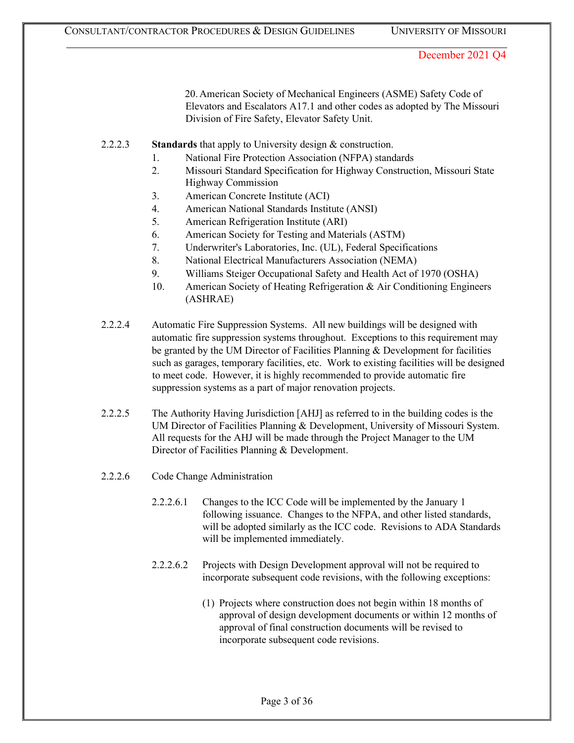20. American Society of Mechanical Engineers (ASME) Safety Code of Elevators and Escalators A17.1 and other codes as adopted by The Missouri Division of Fire Safety, Elevator Safety Unit.

- 2.2.2.3 **Standards** that apply to University design & construction.
	- 1. National Fire Protection Association (NFPA) standards
	- 2. Missouri Standard Specification for Highway Construction, Missouri State Highway Commission
	- 3. American Concrete Institute (ACI)
	- 4. American National Standards Institute (ANSI)
	- 5. American Refrigeration Institute (ARI)
	- 6. American Society for Testing and Materials (ASTM)
	- 7. Underwriter's Laboratories, Inc. (UL), Federal Specifications
	- 8. National Electrical Manufacturers Association (NEMA)
	- 9. Williams Steiger Occupational Safety and Health Act of 1970 (OSHA)
	- 10. American Society of Heating Refrigeration & Air Conditioning Engineers (ASHRAE)
- 2.2.2.4 Automatic Fire Suppression Systems. All new buildings will be designed with automatic fire suppression systems throughout. Exceptions to this requirement may be granted by the UM Director of Facilities Planning & Development for facilities such as garages, temporary facilities, etc. Work to existing facilities will be designed to meet code. However, it is highly recommended to provide automatic fire suppression systems as a part of major renovation projects.
- 2.2.2.5 The Authority Having Jurisdiction [AHJ] as referred to in the building codes is the UM Director of Facilities Planning & Development, University of Missouri System. All requests for the AHJ will be made through the Project Manager to the UM Director of Facilities Planning & Development.
- 2.2.2.6 Code Change Administration
	- 2.2.2.6.1 Changes to the ICC Code will be implemented by the January 1 following issuance. Changes to the NFPA, and other listed standards, will be adopted similarly as the ICC code. Revisions to ADA Standards will be implemented immediately.
	- 2.2.2.6.2 Projects with Design Development approval will not be required to incorporate subsequent code revisions, with the following exceptions:
		- (1) Projects where construction does not begin within 18 months of approval of design development documents or within 12 months of approval of final construction documents will be revised to incorporate subsequent code revisions.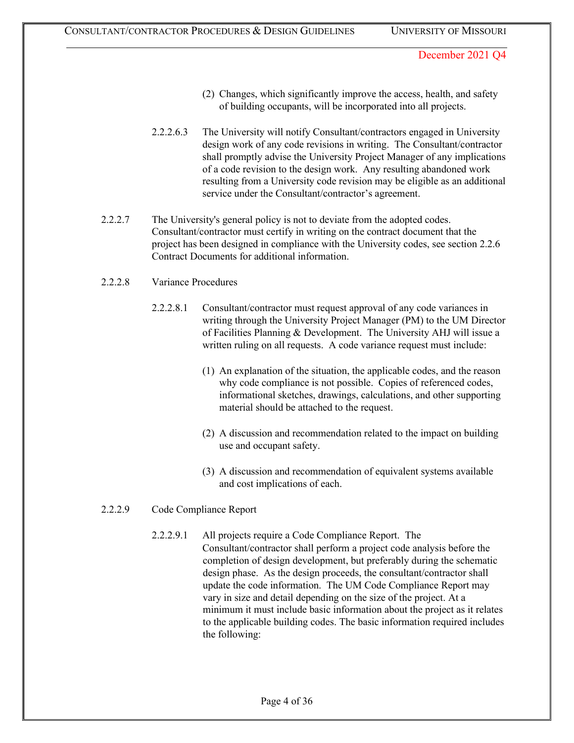- (2) Changes, which significantly improve the access, health, and safety of building occupants, will be incorporated into all projects.
- 2.2.2.6.3 The University will notify Consultant/contractors engaged in University design work of any code revisions in writing. The Consultant/contractor shall promptly advise the University Project Manager of any implications of a code revision to the design work. Any resulting abandoned work resulting from a University code revision may be eligible as an additional service under the Consultant/contractor's agreement.
- 2.2.2.7 The University's general policy is not to deviate from the adopted codes. Consultant/contractor must certify in writing on the contract document that the project has been designed in compliance with the University codes, see section 2.2.6 Contract Documents for additional information.
- 2.2.2.8 Variance Procedures
	- 2.2.2.8.1 Consultant/contractor must request approval of any code variances in writing through the University Project Manager (PM) to the UM Director of Facilities Planning & Development. The University AHJ will issue a written ruling on all requests. A code variance request must include:
		- (1) An explanation of the situation, the applicable codes, and the reason why code compliance is not possible. Copies of referenced codes, informational sketches, drawings, calculations, and other supporting material should be attached to the request.
		- (2) A discussion and recommendation related to the impact on building use and occupant safety.
		- (3) A discussion and recommendation of equivalent systems available and cost implications of each.
- 2.2.2.9 Code Compliance Report
	- 2.2.2.9.1 All projects require a Code Compliance Report. The Consultant/contractor shall perform a project code analysis before the completion of design development, but preferably during the schematic design phase. As the design proceeds, the consultant/contractor shall update the code information. The UM Code Compliance Report may vary in size and detail depending on the size of the project. At a minimum it must include basic information about the project as it relates to the applicable building codes. The basic information required includes the following: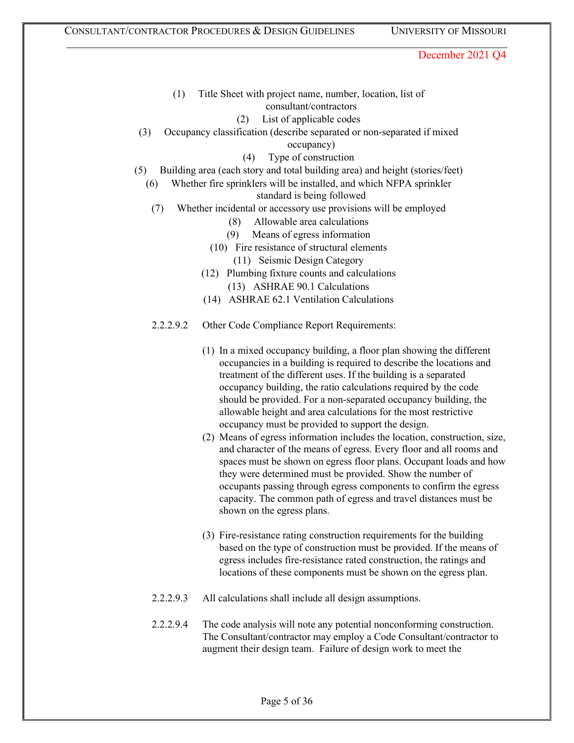- (1) Title Sheet with project name, number, location, list of consultant/contractors
	- (2) List of applicable codes
- (3) Occupancy classification (describe separated or non-separated if mixed occupancy)
	- (4) Type of construction
- (5) Building area (each story and total building area) and height (stories/feet)
	- (6) Whether fire sprinklers will be installed, and which NFPA sprinkler

standard is being followed

- (7) Whether incidental or accessory use provisions will be employed
	- (8) Allowable area calculations
	- (9) Means of egress information
	- (10) Fire resistance of structural elements (11) Seismic Design Category
	- (12) Plumbing fixture counts and calculations
		- (13) ASHRAE 90.1 Calculations
	- (14) ASHRAE 62.1 Ventilation Calculations
- 2.2.2.9.2 Other Code Compliance Report Requirements:
	- (1) In a mixed occupancy building, a floor plan showing the different occupancies in a building is required to describe the locations and treatment of the different uses. If the building is a separated occupancy building, the ratio calculations required by the code should be provided. For a non-separated occupancy building, the allowable height and area calculations for the most restrictive occupancy must be provided to support the design.
	- (2) Means of egress information includes the location, construction, size, and character of the means of egress. Every floor and all rooms and spaces must be shown on egress floor plans. Occupant loads and how they were determined must be provided. Show the number of occupants passing through egress components to confirm the egress capacity. The common path of egress and travel distances must be shown on the egress plans.
	- (3) Fire-resistance rating construction requirements for the building based on the type of construction must be provided. If the means of egress includes fire-resistance rated construction, the ratings and locations of these components must be shown on the egress plan.
- 2.2.2.9.3 All calculations shall include all design assumptions.
- 2.2.2.9.4 The code analysis will note any potential nonconforming construction. The Consultant/contractor may employ a Code Consultant/contractor to augment their design team. Failure of design work to meet the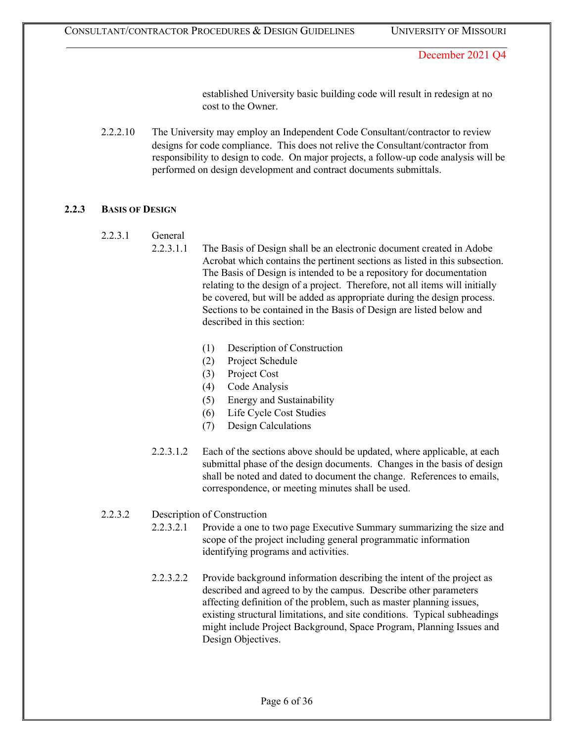established University basic building code will result in redesign at no cost to the Owner.

2.2.2.10 The University may employ an Independent Code Consultant/contractor to review designs for code compliance. This does not relive the Consultant/contractor from responsibility to design to code. On major projects, a follow-up code analysis will be performed on design development and contract documents submittals.

# **2.2.3 BASIS OF DESIGN**

- 2.2.3.1 General
	- 2.2.3.1.1 The Basis of Design shall be an electronic document created in Adobe Acrobat which contains the pertinent sections as listed in this subsection. The Basis of Design is intended to be a repository for documentation relating to the design of a project. Therefore, not all items will initially be covered, but will be added as appropriate during the design process. Sections to be contained in the Basis of Design are listed below and described in this section:
		- (1) Description of Construction
		- (2) Project Schedule
		- (3) Project Cost
		- (4) Code Analysis
		- (5) Energy and Sustainability
		- (6) Life Cycle Cost Studies
		- (7) Design Calculations
	- 2.2.3.1.2 Each of the sections above should be updated, where applicable, at each submittal phase of the design documents. Changes in the basis of design shall be noted and dated to document the change. References to emails, correspondence, or meeting minutes shall be used.

# 2.2.3.2 Description of Construction

- 2.2.3.2.1 Provide a one to two page Executive Summary summarizing the size and scope of the project including general programmatic information identifying programs and activities.
- 2.2.3.2.2 Provide background information describing the intent of the project as described and agreed to by the campus. Describe other parameters affecting definition of the problem, such as master planning issues, existing structural limitations, and site conditions. Typical subheadings might include Project Background, Space Program, Planning Issues and Design Objectives.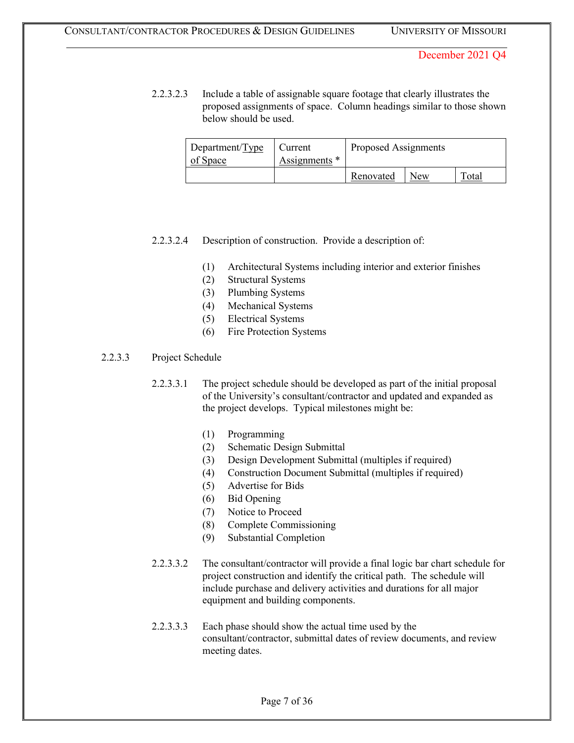2.2.3.2.3 Include a table of assignable square footage that clearly illustrates the proposed assignments of space. Column headings similar to those shown below should be used.

| Department/Type<br>of Space | Current<br>Assignments * | Proposed Assignments |     |       |
|-----------------------------|--------------------------|----------------------|-----|-------|
|                             |                          | Renovated            | New | Total |

#### 2.2.3.2.4 Description of construction. Provide a description of:

- (1) Architectural Systems including interior and exterior finishes
- (2) Structural Systems
- (3) Plumbing Systems
- (4) Mechanical Systems
- (5) Electrical Systems
- (6) Fire Protection Systems

### 2.2.3.3 Project Schedule

2.2.3.3.1 The project schedule should be developed as part of the initial proposal of the University's consultant/contractor and updated and expanded as the project develops. Typical milestones might be:

- (1) Programming
- (2) Schematic Design Submittal
- (3) Design Development Submittal (multiples if required)
- (4) Construction Document Submittal (multiples if required)
- (5) Advertise for Bids
- (6) Bid Opening
- (7) Notice to Proceed
- (8) Complete Commissioning
- (9) Substantial Completion
- 2.2.3.3.2 The consultant/contractor will provide a final logic bar chart schedule for project construction and identify the critical path. The schedule will include purchase and delivery activities and durations for all major equipment and building components.
- 2.2.3.3.3 Each phase should show the actual time used by the consultant/contractor, submittal dates of review documents, and review meeting dates.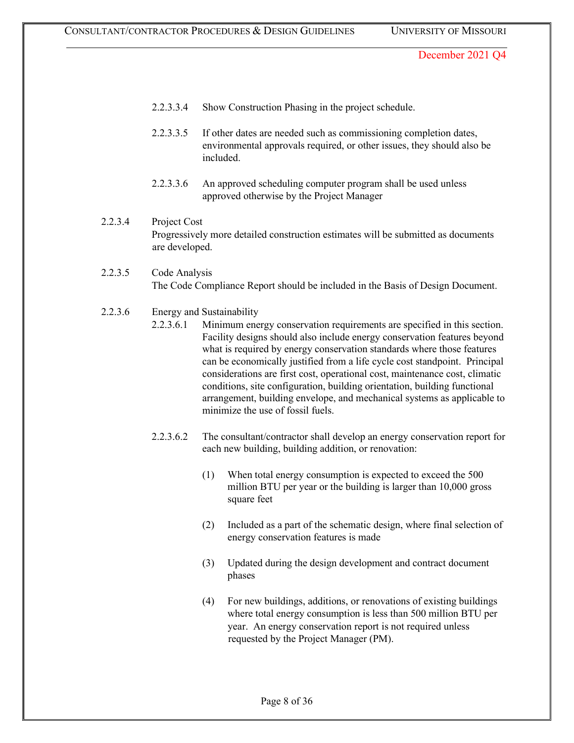- 2.2.3.3.4 Show Construction Phasing in the project schedule.
- 2.2.3.3.5 If other dates are needed such as commissioning completion dates, environmental approvals required, or other issues, they should also be included.
- 2.2.3.3.6 An approved scheduling computer program shall be used unless approved otherwise by the Project Manager
- 2.2.3.4 Project Cost Progressively more detailed construction estimates will be submitted as documents are developed.
- 2.2.3.5 Code Analysis The Code Compliance Report should be included in the Basis of Design Document.
- 2.2.3.6 Energy and Sustainability
	- 2.2.3.6.1 Minimum energy conservation requirements are specified in this section. Facility designs should also include energy conservation features beyond what is required by energy conservation standards where those features can be economically justified from a life cycle cost standpoint. Principal considerations are first cost, operational cost, maintenance cost, climatic conditions, site configuration, building orientation, building functional arrangement, building envelope, and mechanical systems as applicable to minimize the use of fossil fuels.
	- 2.2.3.6.2 The consultant/contractor shall develop an energy conservation report for each new building, building addition, or renovation:
		- (1) When total energy consumption is expected to exceed the 500 million BTU per year or the building is larger than 10,000 gross square feet
		- (2) Included as a part of the schematic design, where final selection of energy conservation features is made
		- (3) Updated during the design development and contract document phases
		- (4) For new buildings, additions, or renovations of existing buildings where total energy consumption is less than 500 million BTU per year. An energy conservation report is not required unless requested by the Project Manager (PM).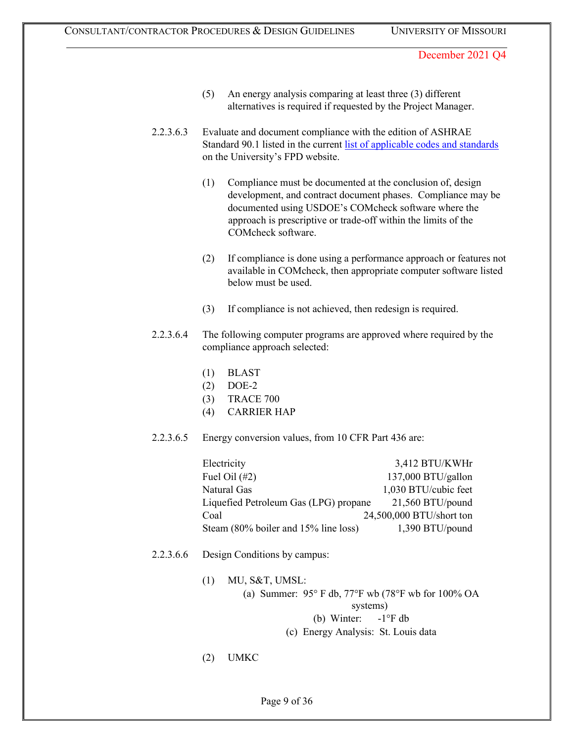- (5) An energy analysis comparing at least three (3) different alternatives is required if requested by the Project Manager.
- 2.2.3.6.3 Evaluate and document compliance with the edition of ASHRAE Standard 90.1 listed in the current [list of applicable codes and standards](https://collaborate.umsystem.edu/sites/fpd/public/docs/UM%20Code%20List.pdf) on the University's FPD website.
	- (1) Compliance must be documented at the conclusion of, design development, and contract document phases. Compliance may be documented using USDOE's COMcheck software where the approach is prescriptive or trade-off within the limits of the COMcheck software.
	- (2) If compliance is done using a performance approach or features not available in COMcheck, then appropriate computer software listed below must be used.
	- (3) If compliance is not achieved, then redesign is required.
- 2.2.3.6.4 The following computer programs are approved where required by the compliance approach selected:
	- (1) BLAST
	- (2) DOE-2
	- (3) TRACE 700
	- (4) CARRIER HAP
- 2.2.3.6.5 Energy conversion values, from 10 CFR Part 436 are:

| Electricity                           | 3,412 BTU/KWHr           |
|---------------------------------------|--------------------------|
| Fuel Oil $(\#2)$                      | 137,000 BTU/gallon       |
| Natural Gas                           | 1,030 BTU/cubic feet     |
| Liquefied Petroleum Gas (LPG) propane | $21,560$ BTU/pound       |
| Coal                                  | 24,500,000 BTU/short ton |
| Steam (80% boiler and 15% line loss)  | 1,390 BTU/pound          |

- 2.2.3.6.6 Design Conditions by campus:
	- (1) MU, S&T, UMSL:
		- (a) Summer: 95° F db, 77°F wb (78°F wb for 100% OA systems)

(b) Winter: -1°F db

- (c) Energy Analysis: St. Louis data
- (2) UMKC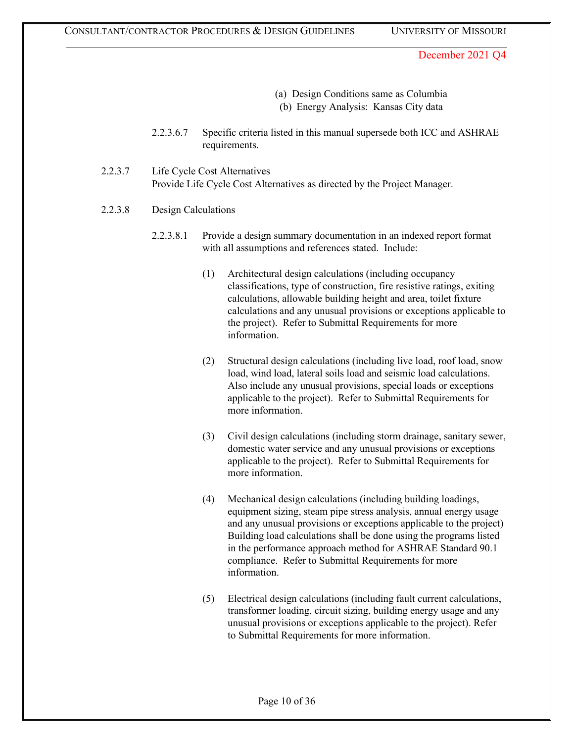- (a) Design Conditions same as Columbia (b) Energy Analysis: Kansas City data
- 2.2.3.6.7 Specific criteria listed in this manual supersede both ICC and ASHRAE requirements.
- 2.2.3.7 Life Cycle Cost Alternatives Provide Life Cycle Cost Alternatives as directed by the Project Manager.
- 2.2.3.8 Design Calculations
	- 2.2.3.8.1 Provide a design summary documentation in an indexed report format with all assumptions and references stated. Include:
		- (1) Architectural design calculations (including occupancy classifications, type of construction, fire resistive ratings, exiting calculations, allowable building height and area, toilet fixture calculations and any unusual provisions or exceptions applicable to the project). Refer to Submittal Requirements for more information.
		- (2) Structural design calculations (including live load, roof load, snow load, wind load, lateral soils load and seismic load calculations. Also include any unusual provisions, special loads or exceptions applicable to the project). Refer to Submittal Requirements for more information.
		- (3) Civil design calculations (including storm drainage, sanitary sewer, domestic water service and any unusual provisions or exceptions applicable to the project). Refer to Submittal Requirements for more information.
		- (4) Mechanical design calculations (including building loadings, equipment sizing, steam pipe stress analysis, annual energy usage and any unusual provisions or exceptions applicable to the project) Building load calculations shall be done using the programs listed in the performance approach method for ASHRAE Standard 90.1 compliance. Refer to Submittal Requirements for more information.
		- (5) Electrical design calculations (including fault current calculations, transformer loading, circuit sizing, building energy usage and any unusual provisions or exceptions applicable to the project). Refer to Submittal Requirements for more information.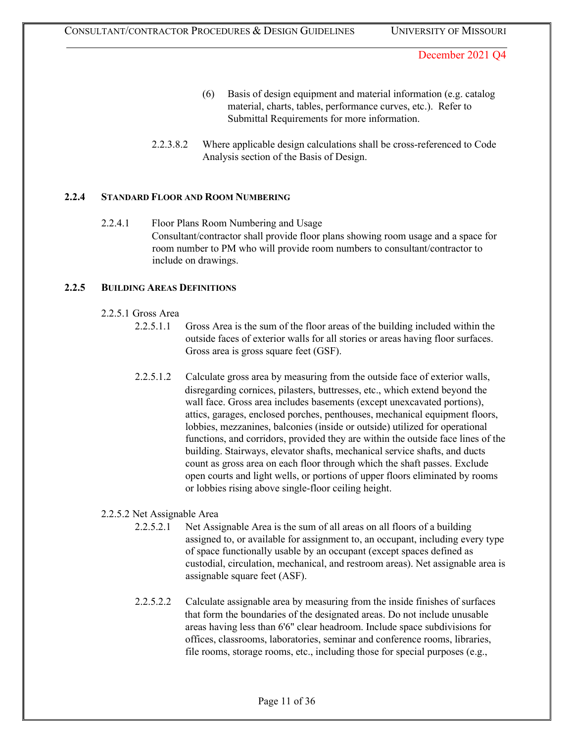- (6) Basis of design equipment and material information (e.g. catalog material, charts, tables, performance curves, etc.). Refer to Submittal Requirements for more information.
- 2.2.3.8.2 Where applicable design calculations shall be cross-referenced to Code Analysis section of the Basis of Design.

#### **2.2.4 STANDARD FLOOR AND ROOM NUMBERING**

2.2.4.1 Floor Plans Room Numbering and Usage Consultant/contractor shall provide floor plans showing room usage and a space for room number to PM who will provide room numbers to consultant/contractor to include on drawings.

#### **2.2.5 BUILDING AREAS DEFINITIONS**

#### 2.2.5.1 Gross Area

- 2.2.5.1.1 Gross Area is the sum of the floor areas of the building included within the outside faces of exterior walls for all stories or areas having floor surfaces. Gross area is gross square feet (GSF).
- 2.2.5.1.2 Calculate gross area by measuring from the outside face of exterior walls, disregarding cornices, pilasters, buttresses, etc., which extend beyond the wall face. Gross area includes basements (except unexcavated portions), attics, garages, enclosed porches, penthouses, mechanical equipment floors, lobbies, mezzanines, balconies (inside or outside) utilized for operational functions, and corridors, provided they are within the outside face lines of the building. Stairways, elevator shafts, mechanical service shafts, and ducts count as gross area on each floor through which the shaft passes. Exclude open courts and light wells, or portions of upper floors eliminated by rooms or lobbies rising above single-floor ceiling height.

### 2.2.5.2 Net Assignable Area

- 2.2.5.2.1 Net Assignable Area is the sum of all areas on all floors of a building assigned to, or available for assignment to, an occupant, including every type of space functionally usable by an occupant (except spaces defined as custodial, circulation, mechanical, and restroom areas). Net assignable area is assignable square feet (ASF).
- 2.2.5.2.2 Calculate assignable area by measuring from the inside finishes of surfaces that form the boundaries of the designated areas. Do not include unusable areas having less than 6'6" clear headroom. Include space subdivisions for offices, classrooms, laboratories, seminar and conference rooms, libraries, file rooms, storage rooms, etc., including those for special purposes (e.g.,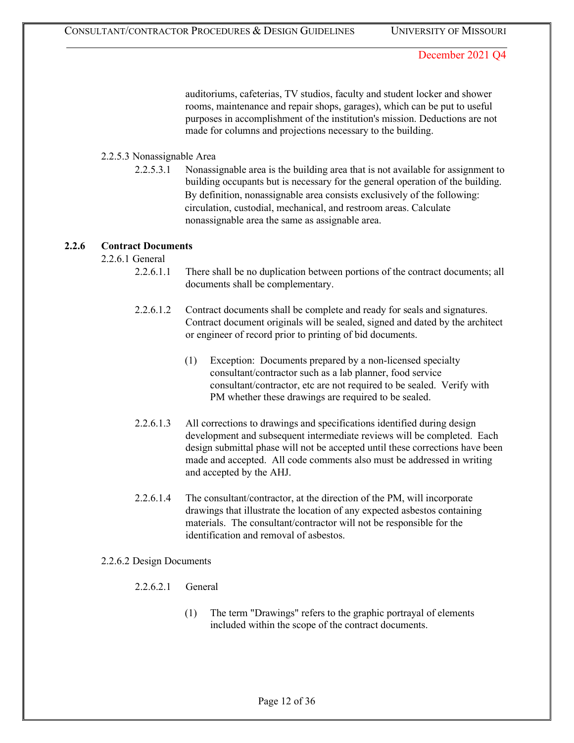auditoriums, cafeterias, TV studios, faculty and student locker and shower rooms, maintenance and repair shops, garages), which can be put to useful purposes in accomplishment of the institution's mission. Deductions are not made for columns and projections necessary to the building.

### 2.2.5.3 Nonassignable Area

2.2.5.3.1 Nonassignable area is the building area that is not available for assignment to building occupants but is necessary for the general operation of the building. By definition, nonassignable area consists exclusively of the following: circulation, custodial, mechanical, and restroom areas. Calculate nonassignable area the same as assignable area.

#### **2.2.6 Contract Documents**

2.2.6.1 General

- 2.2.6.1.1 There shall be no duplication between portions of the contract documents; all documents shall be complementary.
- 2.2.6.1.2 Contract documents shall be complete and ready for seals and signatures. Contract document originals will be sealed, signed and dated by the architect or engineer of record prior to printing of bid documents.
	- (1) Exception: Documents prepared by a non-licensed specialty consultant/contractor such as a lab planner, food service consultant/contractor, etc are not required to be sealed. Verify with PM whether these drawings are required to be sealed.
- 2.2.6.1.3 All corrections to drawings and specifications identified during design development and subsequent intermediate reviews will be completed. Each design submittal phase will not be accepted until these corrections have been made and accepted. All code comments also must be addressed in writing and accepted by the AHJ.
- 2.2.6.1.4 The consultant/contractor, at the direction of the PM, will incorporate drawings that illustrate the location of any expected asbestos containing materials. The consultant/contractor will not be responsible for the identification and removal of asbestos.

#### 2.2.6.2 Design Documents

- 2.2.6.2.1 General
	- (1) The term "Drawings" refers to the graphic portrayal of elements included within the scope of the contract documents.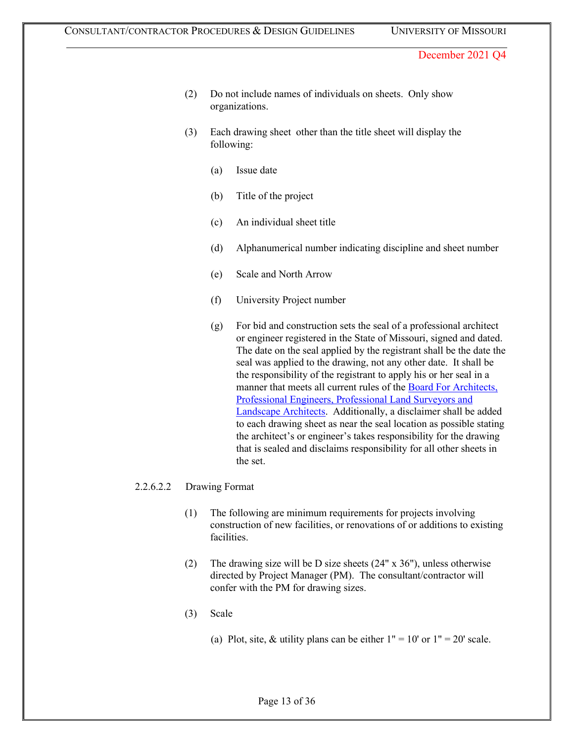- (2) Do not include names of individuals on sheets. Only show organizations.
- (3) Each drawing sheet other than the title sheet will display the following:
	- (a) Issue date
	- (b) Title of the project
	- (c) An individual sheet title
	- (d) Alphanumerical number indicating discipline and sheet number
	- (e) Scale and North Arrow
	- (f) University Project number
	- (g) For bid and construction sets the seal of a professional architect or engineer registered in the State of Missouri, signed and dated. The date on the seal applied by the registrant shall be the date the seal was applied to the drawing, not any other date. It shall be the responsibility of the registrant to apply his or her seal in a manner that meets all current rules of the [Board For Architects,](http://pr.mo.gov/apelsla.asp) [Professional Engineers, Professional Land Surveyors and](http://pr.mo.gov/apelsla.asp) [Landscape Architects.](http://pr.mo.gov/apelsla.asp) Additionally, a disclaimer shall be added to each drawing sheet as near the seal location as possible stating the architect's or engineer's takes responsibility for the drawing that is sealed and disclaims responsibility for all other sheets in the set.

#### 2.2.6.2.2 Drawing Format

- (1) The following are minimum requirements for projects involving construction of new facilities, or renovations of or additions to existing facilities.
- (2) The drawing size will be D size sheets (24" x 36"), unless otherwise directed by Project Manager (PM). The consultant/contractor will confer with the PM for drawing sizes.
- (3) Scale
	- (a) Plot, site, & utility plans can be either  $1" = 10'$  or  $1" = 20'$  scale.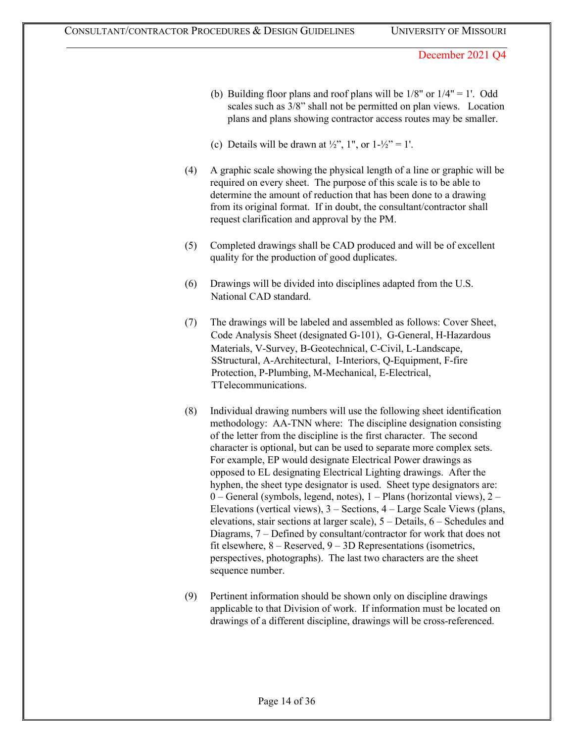- (b) Building floor plans and roof plans will be  $1/8"$  or  $1/4" = 1'$ . Odd scales such as 3/8" shall not be permitted on plan views. Location plans and plans showing contractor access routes may be smaller.
- (c) Details will be drawn at  $\frac{1}{2}$ , 1", or  $1-\frac{1}{2}$ " = 1'.
- (4) A graphic scale showing the physical length of a line or graphic will be required on every sheet. The purpose of this scale is to be able to determine the amount of reduction that has been done to a drawing from its original format. If in doubt, the consultant/contractor shall request clarification and approval by the PM.
- (5) Completed drawings shall be CAD produced and will be of excellent quality for the production of good duplicates.
- (6) Drawings will be divided into disciplines adapted from the U.S. National CAD standard.
- (7) The drawings will be labeled and assembled as follows: Cover Sheet, Code Analysis Sheet (designated G-101), G-General, H-Hazardous Materials, V-Survey, B-Geotechnical, C-Civil, L-Landscape, SStructural, A-Architectural, I-Interiors, Q-Equipment, F-fire Protection, P-Plumbing, M-Mechanical, E-Electrical, TTelecommunications.
- (8) Individual drawing numbers will use the following sheet identification methodology: AA-TNN where: The discipline designation consisting of the letter from the discipline is the first character. The second character is optional, but can be used to separate more complex sets. For example, EP would designate Electrical Power drawings as opposed to EL designating Electrical Lighting drawings. After the hyphen, the sheet type designator is used. Sheet type designators are: 0 – General (symbols, legend, notes), 1 – Plans (horizontal views), 2 – Elevations (vertical views), 3 – Sections, 4 – Large Scale Views (plans, elevations, stair sections at larger scale), 5 – Details, 6 – Schedules and Diagrams, 7 – Defined by consultant/contractor for work that does not fit elsewhere,  $8 -$ Reserved,  $9 - 3D$  Representations (isometrics, perspectives, photographs). The last two characters are the sheet sequence number.
- (9) Pertinent information should be shown only on discipline drawings applicable to that Division of work. If information must be located on drawings of a different discipline, drawings will be cross-referenced.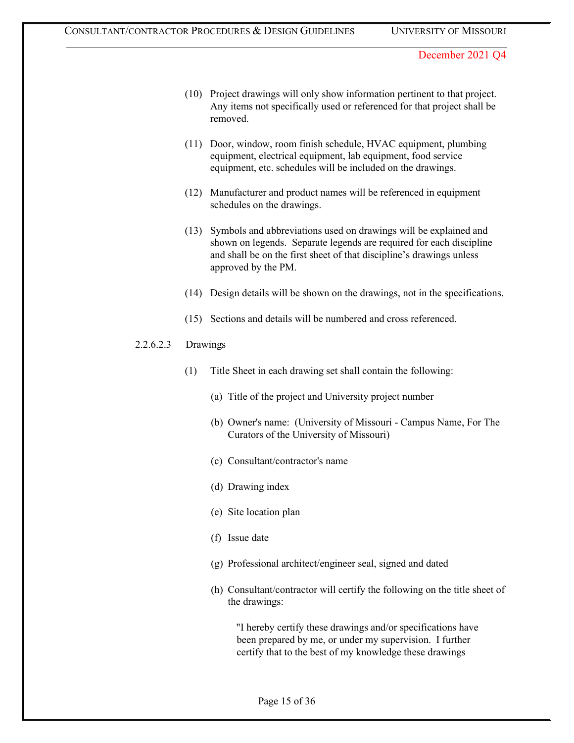- (10) Project drawings will only show information pertinent to that project. Any items not specifically used or referenced for that project shall be removed.
- (11) Door, window, room finish schedule, HVAC equipment, plumbing equipment, electrical equipment, lab equipment, food service equipment, etc. schedules will be included on the drawings.
- (12) Manufacturer and product names will be referenced in equipment schedules on the drawings.
- (13) Symbols and abbreviations used on drawings will be explained and shown on legends. Separate legends are required for each discipline and shall be on the first sheet of that discipline's drawings unless approved by the PM.
- (14) Design details will be shown on the drawings, not in the specifications.
- (15) Sections and details will be numbered and cross referenced.

### 2.2.6.2.3 Drawings

- (1) Title Sheet in each drawing set shall contain the following:
	- (a) Title of the project and University project number
	- (b) Owner's name: (University of Missouri Campus Name, For The Curators of the University of Missouri)
	- (c) Consultant/contractor's name
	- (d) Drawing index
	- (e) Site location plan
	- (f) Issue date
	- (g) Professional architect/engineer seal, signed and dated
	- (h) Consultant/contractor will certify the following on the title sheet of the drawings:

"I hereby certify these drawings and/or specifications have been prepared by me, or under my supervision. I further certify that to the best of my knowledge these drawings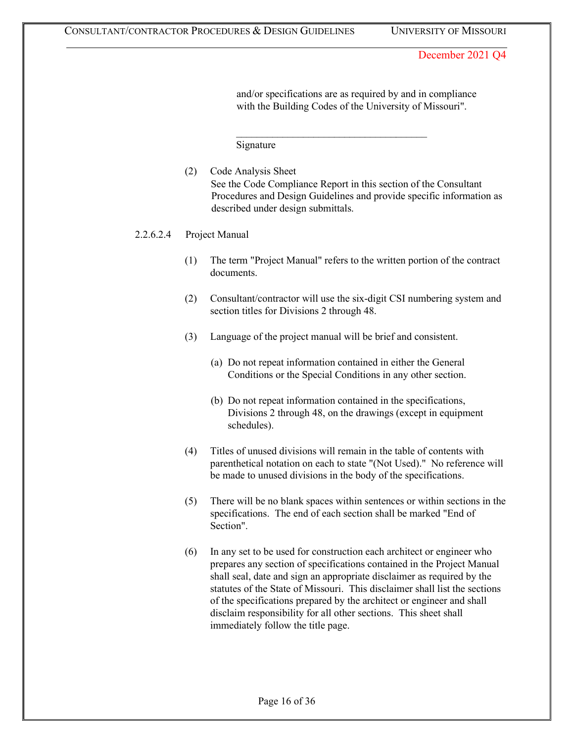and/or specifications are as required by and in compliance with the Building Codes of the University of Missouri".

Signature

(2) Code Analysis Sheet See the Code Compliance Report in this section of the Consultant Procedures and Design Guidelines and provide specific information as described under design submittals.

 $\mathcal{L}_\text{max}$  , and the set of the set of the set of the set of the set of the set of the set of the set of the set of the set of the set of the set of the set of the set of the set of the set of the set of the set of the

2.2.6.2.4 Project Manual

- (1) The term "Project Manual" refers to the written portion of the contract documents.
- (2) Consultant/contractor will use the six-digit CSI numbering system and section titles for Divisions 2 through 48.
- (3) Language of the project manual will be brief and consistent.
	- (a) Do not repeat information contained in either the General Conditions or the Special Conditions in any other section.
	- (b) Do not repeat information contained in the specifications, Divisions 2 through 48, on the drawings (except in equipment schedules).
- (4) Titles of unused divisions will remain in the table of contents with parenthetical notation on each to state "(Not Used)." No reference will be made to unused divisions in the body of the specifications.
- (5) There will be no blank spaces within sentences or within sections in the specifications. The end of each section shall be marked "End of Section".
- (6) In any set to be used for construction each architect or engineer who prepares any section of specifications contained in the Project Manual shall seal, date and sign an appropriate disclaimer as required by the statutes of the State of Missouri. This disclaimer shall list the sections of the specifications prepared by the architect or engineer and shall disclaim responsibility for all other sections. This sheet shall immediately follow the title page.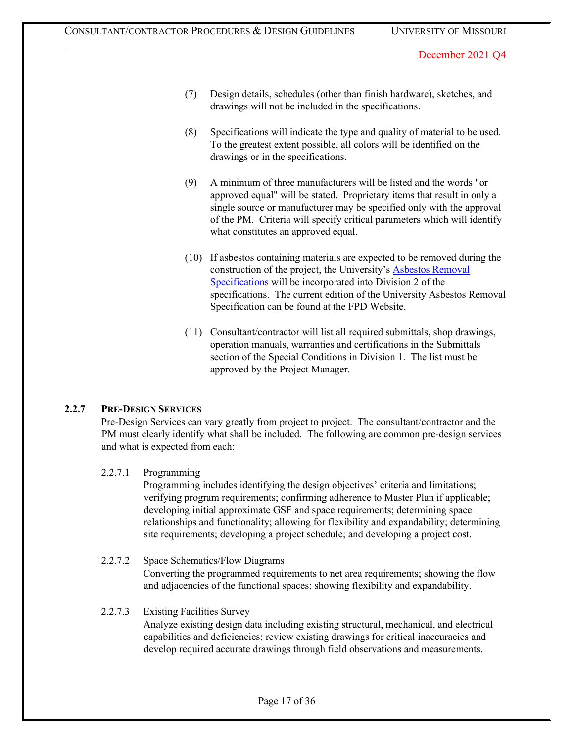- (7) Design details, schedules (other than finish hardware), sketches, and drawings will not be included in the specifications.
- (8) Specifications will indicate the type and quality of material to be used. To the greatest extent possible, all colors will be identified on the drawings or in the specifications.
- (9) A minimum of three manufacturers will be listed and the words "or approved equal" will be stated. Proprietary items that result in only a single source or manufacturer may be specified only with the approval of the PM. Criteria will specify critical parameters which will identify what constitutes an approved equal.
- (10) If asbestos containing materials are expected to be removed during the construction of the project, the University's **Asbestos Removal** [Specifications](https://collaborate.umsystem.edu/sites/fpd/public/docs/Asbestos%20Spec.docx?d=wff6c124f808a425ba3fbf813ea71f4ea) will be incorporated into Division 2 of the specifications. The current edition of the University Asbestos Removal Specification can be found at the FPD Website.
- (11) Consultant/contractor will list all required submittals, shop drawings, operation manuals, warranties and certifications in the Submittals section of the Special Conditions in Division 1. The list must be approved by the Project Manager.

### **2.2.7 PRE-DESIGN SERVICES**

Pre-Design Services can vary greatly from project to project. The consultant/contractor and the PM must clearly identify what shall be included. The following are common pre-design services and what is expected from each:

#### 2.2.7.1 Programming

Programming includes identifying the design objectives' criteria and limitations; verifying program requirements; confirming adherence to Master Plan if applicable; developing initial approximate GSF and space requirements; determining space relationships and functionality; allowing for flexibility and expandability; determining site requirements; developing a project schedule; and developing a project cost.

#### 2.2.7.2 Space Schematics/Flow Diagrams

Converting the programmed requirements to net area requirements; showing the flow and adjacencies of the functional spaces; showing flexibility and expandability.

#### 2.2.7.3 Existing Facilities Survey

Analyze existing design data including existing structural, mechanical, and electrical capabilities and deficiencies; review existing drawings for critical inaccuracies and develop required accurate drawings through field observations and measurements.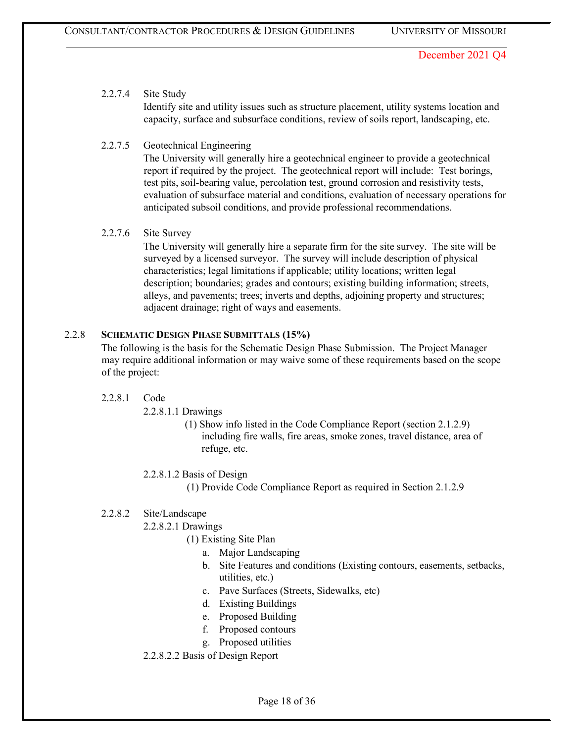# 2.2.7.4 Site Study

Identify site and utility issues such as structure placement, utility systems location and capacity, surface and subsurface conditions, review of soils report, landscaping, etc.

# 2.2.7.5 Geotechnical Engineering

The University will generally hire a geotechnical engineer to provide a geotechnical report if required by the project. The geotechnical report will include: Test borings, test pits, soil-bearing value, percolation test, ground corrosion and resistivity tests, evaluation of subsurface material and conditions, evaluation of necessary operations for anticipated subsoil conditions, and provide professional recommendations.

### 2.2.7.6 Site Survey

The University will generally hire a separate firm for the site survey. The site will be surveyed by a licensed surveyor. The survey will include description of physical characteristics; legal limitations if applicable; utility locations; written legal description; boundaries; grades and contours; existing building information; streets, alleys, and pavements; trees; inverts and depths, adjoining property and structures; adjacent drainage; right of ways and easements.

### 2.2.8 **SCHEMATIC DESIGN PHASE SUBMITTALS (15%)**

The following is the basis for the Schematic Design Phase Submission. The Project Manager may require additional information or may waive some of these requirements based on the scope of the project:

- 2.2.8.1 Code
	- 2.2.8.1.1 Drawings
		- (1) Show info listed in the Code Compliance Report (section 2.1.2.9) including fire walls, fire areas, smoke zones, travel distance, area of refuge, etc.
	- 2.2.8.1.2 Basis of Design
		- (1) Provide Code Compliance Report as required in Section 2.1.2.9

# 2.2.8.2 Site/Landscape

- 2.2.8.2.1 Drawings
	- (1) Existing Site Plan
		- a. Major Landscaping
		- b. Site Features and conditions (Existing contours, easements, setbacks, utilities, etc.)
		- c. Pave Surfaces (Streets, Sidewalks, etc)
		- d. Existing Buildings
		- e. Proposed Building
		- f. Proposed contours
		- g. Proposed utilities
- 2.2.8.2.2 Basis of Design Report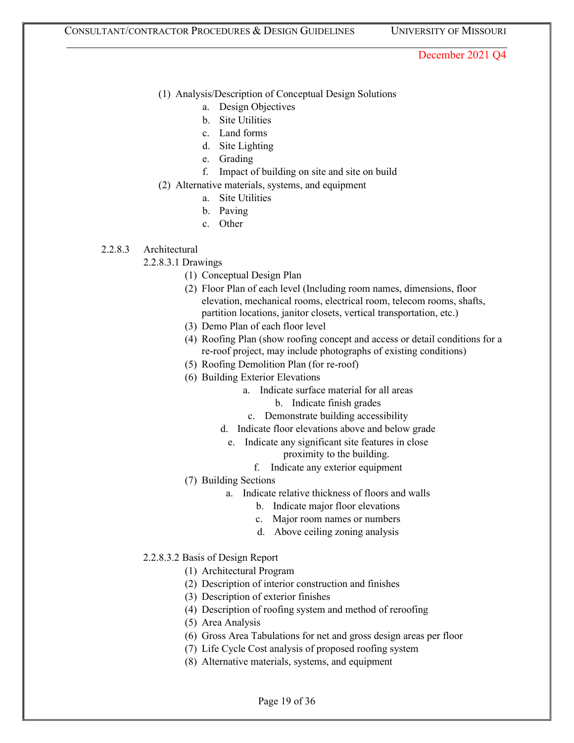- (1) Analysis/Description of Conceptual Design Solutions
	- a. Design Objectives
	- b. Site Utilities
	- c. Land forms
	- d. Site Lighting
	- e. Grading
	- f. Impact of building on site and site on build
- (2) Alternative materials, systems, and equipment
	- a. Site Utilities
	- b. Paving
	- c. Other
- 2.2.8.3 Architectural
	- 2.2.8.3.1 Drawings
		- (1) Conceptual Design Plan
			- (2) Floor Plan of each level (Including room names, dimensions, floor elevation, mechanical rooms, electrical room, telecom rooms, shafts, partition locations, janitor closets, vertical transportation, etc.)
			- (3) Demo Plan of each floor level
			- (4) Roofing Plan (show roofing concept and access or detail conditions for a re-roof project, may include photographs of existing conditions)
			- (5) Roofing Demolition Plan (for re-roof)
			- (6) Building Exterior Elevations
				- a. Indicate surface material for all areas
					- b. Indicate finish grades
				- c. Demonstrate building accessibility
				- d. Indicate floor elevations above and below grade
				- e. Indicate any significant site features in close proximity to the building.
					- f. Indicate any exterior equipment
		- (7) Building Sections
			- a. Indicate relative thickness of floors and walls
				- b. Indicate major floor elevations
				- c. Major room names or numbers
				- d. Above ceiling zoning analysis
	- 2.2.8.3.2 Basis of Design Report
		- (1) Architectural Program
		- (2) Description of interior construction and finishes
		- (3) Description of exterior finishes
		- (4) Description of roofing system and method of reroofing
		- (5) Area Analysis
		- (6) Gross Area Tabulations for net and gross design areas per floor
		- (7) Life Cycle Cost analysis of proposed roofing system
		- (8) Alternative materials, systems, and equipment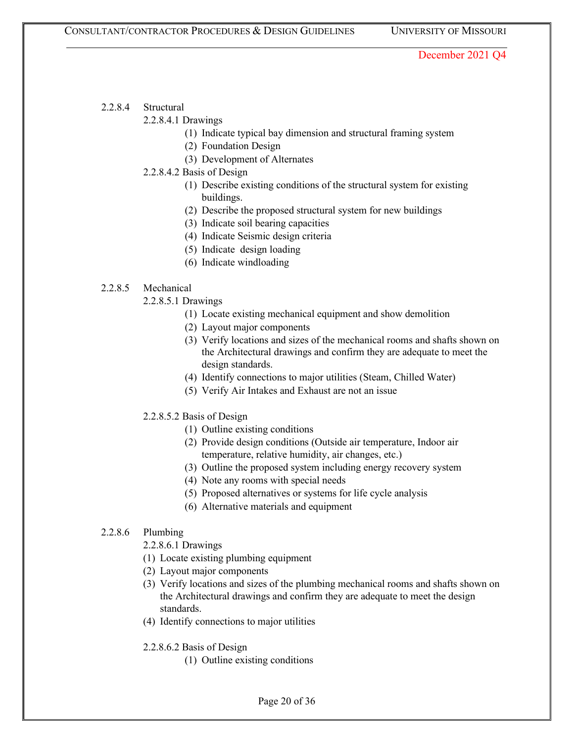- 2.2.8.4 Structural
	- 2.2.8.4.1 Drawings
		- (1) Indicate typical bay dimension and structural framing system
		- (2) Foundation Design
		- (3) Development of Alternates
	- 2.2.8.4.2 Basis of Design
		- (1) Describe existing conditions of the structural system for existing buildings.
		- (2) Describe the proposed structural system for new buildings
		- (3) Indicate soil bearing capacities
		- (4) Indicate Seismic design criteria
		- (5) Indicate design loading
		- (6) Indicate windloading

### 2.2.8.5 Mechanical

- 2.2.8.5.1 Drawings
	- (1) Locate existing mechanical equipment and show demolition
	- (2) Layout major components
	- (3) Verify locations and sizes of the mechanical rooms and shafts shown on the Architectural drawings and confirm they are adequate to meet the design standards.
	- (4) Identify connections to major utilities (Steam, Chilled Water)
	- (5) Verify Air Intakes and Exhaust are not an issue
- 2.2.8.5.2 Basis of Design
	- (1) Outline existing conditions
	- (2) Provide design conditions (Outside air temperature, Indoor air temperature, relative humidity, air changes, etc.)
	- (3) Outline the proposed system including energy recovery system
	- (4) Note any rooms with special needs
	- (5) Proposed alternatives or systems for life cycle analysis
	- (6) Alternative materials and equipment

### 2.2.8.6 Plumbing

2.2.8.6.1 Drawings

- (1) Locate existing plumbing equipment
- (2) Layout major components
- (3) Verify locations and sizes of the plumbing mechanical rooms and shafts shown on the Architectural drawings and confirm they are adequate to meet the design standards.
- (4) Identify connections to major utilities
- 2.2.8.6.2 Basis of Design
	- (1) Outline existing conditions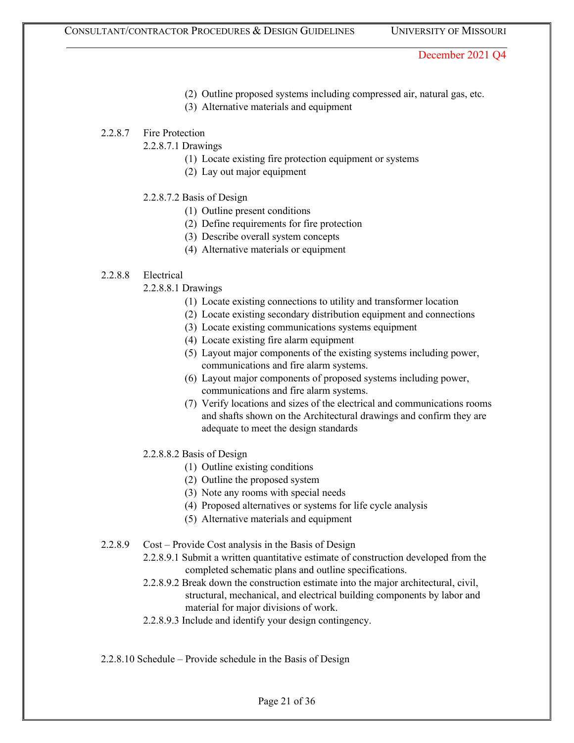- (2) Outline proposed systems including compressed air, natural gas, etc.
- (3) Alternative materials and equipment
- 2.2.8.7 Fire Protection

2.2.8.7.1 Drawings

- (1) Locate existing fire protection equipment or systems
- (2) Lay out major equipment
- 2.2.8.7.2 Basis of Design
	- (1) Outline present conditions
	- (2) Define requirements for fire protection
	- (3) Describe overall system concepts
	- (4) Alternative materials or equipment

#### 2.2.8.8 Electrical

- 2.2.8.8.1 Drawings
	- (1) Locate existing connections to utility and transformer location
	- (2) Locate existing secondary distribution equipment and connections
	- (3) Locate existing communications systems equipment
	- (4) Locate existing fire alarm equipment
	- (5) Layout major components of the existing systems including power, communications and fire alarm systems.
	- (6) Layout major components of proposed systems including power, communications and fire alarm systems.
	- (7) Verify locations and sizes of the electrical and communications rooms and shafts shown on the Architectural drawings and confirm they are adequate to meet the design standards
- 2.2.8.8.2 Basis of Design
	- (1) Outline existing conditions
	- (2) Outline the proposed system
	- (3) Note any rooms with special needs
	- (4) Proposed alternatives or systems for life cycle analysis
	- (5) Alternative materials and equipment
- 2.2.8.9 Cost Provide Cost analysis in the Basis of Design
	- 2.2.8.9.1 Submit a written quantitative estimate of construction developed from the completed schematic plans and outline specifications.
	- 2.2.8.9.2 Break down the construction estimate into the major architectural, civil, structural, mechanical, and electrical building components by labor and material for major divisions of work.
	- 2.2.8.9.3 Include and identify your design contingency.
- 2.2.8.10 Schedule Provide schedule in the Basis of Design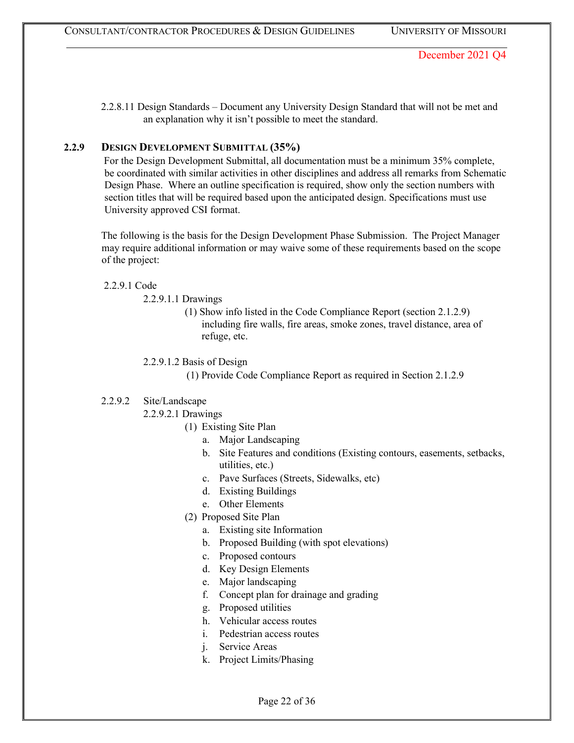2.2.8.11 Design Standards – Document any University Design Standard that will not be met and an explanation why it isn't possible to meet the standard.

### **2.2.9 DESIGN DEVELOPMENT SUBMITTAL (35%)**

For the Design Development Submittal, all documentation must be a minimum 35% complete, be coordinated with similar activities in other disciplines and address all remarks from Schematic Design Phase. Where an outline specification is required, show only the section numbers with section titles that will be required based upon the anticipated design. Specifications must use University approved CSI format.

The following is the basis for the Design Development Phase Submission. The Project Manager may require additional information or may waive some of these requirements based on the scope of the project:

#### 2.2.9.1 Code

2.2.9.1.1 Drawings

(1) Show info listed in the Code Compliance Report (section 2.1.2.9) including fire walls, fire areas, smoke zones, travel distance, area of refuge, etc.

2.2.9.1.2 Basis of Design

(1) Provide Code Compliance Report as required in Section 2.1.2.9

### 2.2.9.2 Site/Landscape

- 2.2.9.2.1 Drawings
	- (1) Existing Site Plan
		- a. Major Landscaping
		- b. Site Features and conditions (Existing contours, easements, setbacks, utilities, etc.)
		- c. Pave Surfaces (Streets, Sidewalks, etc)
		- d. Existing Buildings
		- e. Other Elements
	- (2) Proposed Site Plan
		- a. Existing site Information
		- b. Proposed Building (with spot elevations)
		- c. Proposed contours
		- d. Key Design Elements
		- e. Major landscaping
		- f. Concept plan for drainage and grading
		- g. Proposed utilities
		- h. Vehicular access routes
		- i. Pedestrian access routes
		- j. Service Areas
		- k. Project Limits/Phasing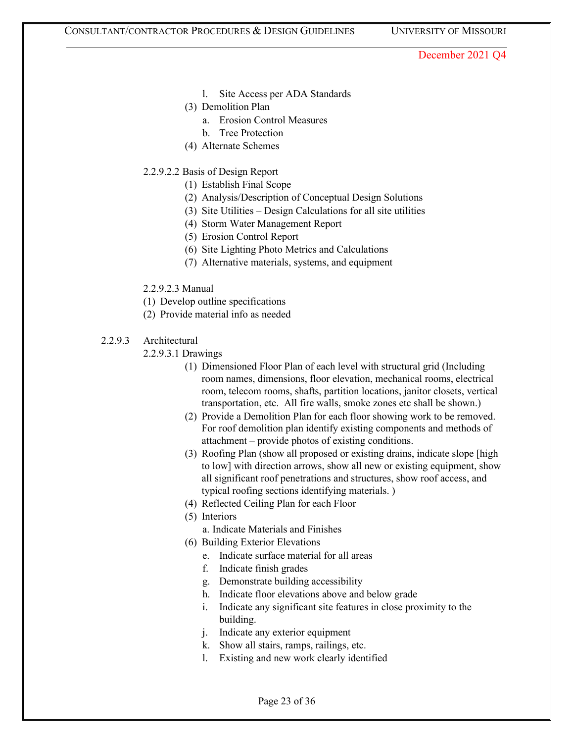- l. Site Access per ADA Standards
- (3) Demolition Plan
	- a. Erosion Control Measures
	- b. Tree Protection
- (4) Alternate Schemes
- 2.2.9.2.2 Basis of Design Report
	- (1) Establish Final Scope
	- (2) Analysis/Description of Conceptual Design Solutions
	- (3) Site Utilities Design Calculations for all site utilities
	- (4) Storm Water Management Report
	- (5) Erosion Control Report
	- (6) Site Lighting Photo Metrics and Calculations
	- (7) Alternative materials, systems, and equipment
- 2.2.9.2.3 Manual
- (1) Develop outline specifications
- (2) Provide material info as needed
- 2.2.9.3 Architectural
	- 2.2.9.3.1 Drawings
		- (1) Dimensioned Floor Plan of each level with structural grid (Including room names, dimensions, floor elevation, mechanical rooms, electrical room, telecom rooms, shafts, partition locations, janitor closets, vertical transportation, etc. All fire walls, smoke zones etc shall be shown.)
		- (2) Provide a Demolition Plan for each floor showing work to be removed. For roof demolition plan identify existing components and methods of attachment – provide photos of existing conditions.
		- (3) Roofing Plan (show all proposed or existing drains, indicate slope [high to low] with direction arrows, show all new or existing equipment, show all significant roof penetrations and structures, show roof access, and typical roofing sections identifying materials. )
		- (4) Reflected Ceiling Plan for each Floor
		- (5) Interiors
			- a. Indicate Materials and Finishes
		- (6) Building Exterior Elevations
			- e. Indicate surface material for all areas
			- f. Indicate finish grades
			- g. Demonstrate building accessibility
			- h. Indicate floor elevations above and below grade
			- i. Indicate any significant site features in close proximity to the building.
			- j. Indicate any exterior equipment
			- k. Show all stairs, ramps, railings, etc.
			- l. Existing and new work clearly identified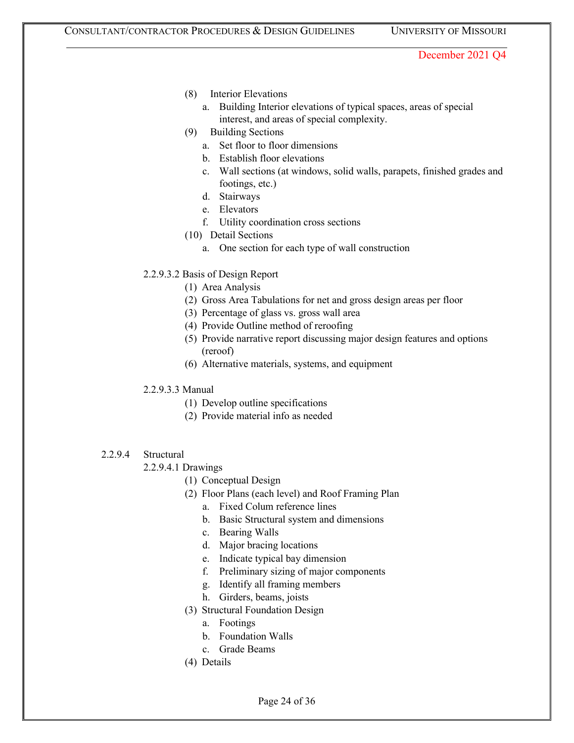- (8) Interior Elevations
	- a. Building Interior elevations of typical spaces, areas of special interest, and areas of special complexity.
- (9) Building Sections
	- a. Set floor to floor dimensions
	- b. Establish floor elevations
	- c. Wall sections (at windows, solid walls, parapets, finished grades and footings, etc.)
	- d. Stairways
	- e. Elevators
	- f. Utility coordination cross sections
- (10) Detail Sections
	- a. One section for each type of wall construction
- 2.2.9.3.2 Basis of Design Report
	- (1) Area Analysis
	- (2) Gross Area Tabulations for net and gross design areas per floor
	- (3) Percentage of glass vs. gross wall area
	- (4) Provide Outline method of reroofing
	- (5) Provide narrative report discussing major design features and options (reroof)
	- (6) Alternative materials, systems, and equipment
- 2.2.9.3.3 Manual
	- (1) Develop outline specifications
	- (2) Provide material info as needed
- 2.2.9.4 Structural
	- 2.2.9.4.1 Drawings
		- (1) Conceptual Design
		- (2) Floor Plans (each level) and Roof Framing Plan
			- a. Fixed Colum reference lines
			- b. Basic Structural system and dimensions
			- c. Bearing Walls
			- d. Major bracing locations
			- e. Indicate typical bay dimension
			- f. Preliminary sizing of major components
			- g. Identify all framing members
			- h. Girders, beams, joists
		- (3) Structural Foundation Design
			- a. Footings
			- b. Foundation Walls
			- c. Grade Beams
		- (4) Details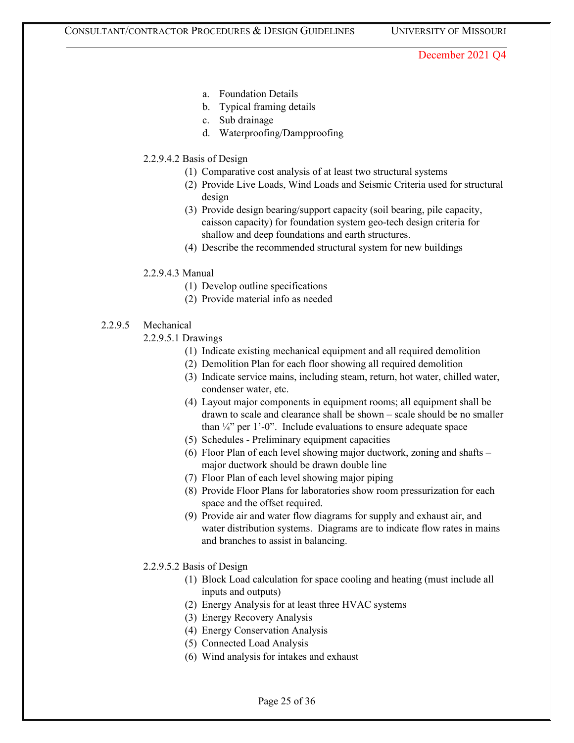- a. Foundation Details
- b. Typical framing details
- c. Sub drainage
- d. Waterproofing/Dampproofing
- 2.2.9.4.2 Basis of Design
	- (1) Comparative cost analysis of at least two structural systems
	- (2) Provide Live Loads, Wind Loads and Seismic Criteria used for structural design
	- (3) Provide design bearing/support capacity (soil bearing, pile capacity, caisson capacity) for foundation system geo-tech design criteria for shallow and deep foundations and earth structures.
	- (4) Describe the recommended structural system for new buildings
- 2.2.9.4.3 Manual
	- (1) Develop outline specifications
	- (2) Provide material info as needed
- 2.2.9.5 Mechanical
	- 2.2.9.5.1 Drawings
		- (1) Indicate existing mechanical equipment and all required demolition
		- (2) Demolition Plan for each floor showing all required demolition
		- (3) Indicate service mains, including steam, return, hot water, chilled water, condenser water, etc.
		- (4) Layout major components in equipment rooms; all equipment shall be drawn to scale and clearance shall be shown – scale should be no smaller than  $\frac{1}{4}$ " per 1'-0". Include evaluations to ensure adequate space
		- (5) Schedules Preliminary equipment capacities
		- (6) Floor Plan of each level showing major ductwork, zoning and shafts major ductwork should be drawn double line
		- (7) Floor Plan of each level showing major piping
		- (8) Provide Floor Plans for laboratories show room pressurization for each space and the offset required.
		- (9) Provide air and water flow diagrams for supply and exhaust air, and water distribution systems. Diagrams are to indicate flow rates in mains and branches to assist in balancing.
	- 2.2.9.5.2 Basis of Design
		- (1) Block Load calculation for space cooling and heating (must include all inputs and outputs)
		- (2) Energy Analysis for at least three HVAC systems
		- (3) Energy Recovery Analysis
		- (4) Energy Conservation Analysis
		- (5) Connected Load Analysis
		- (6) Wind analysis for intakes and exhaust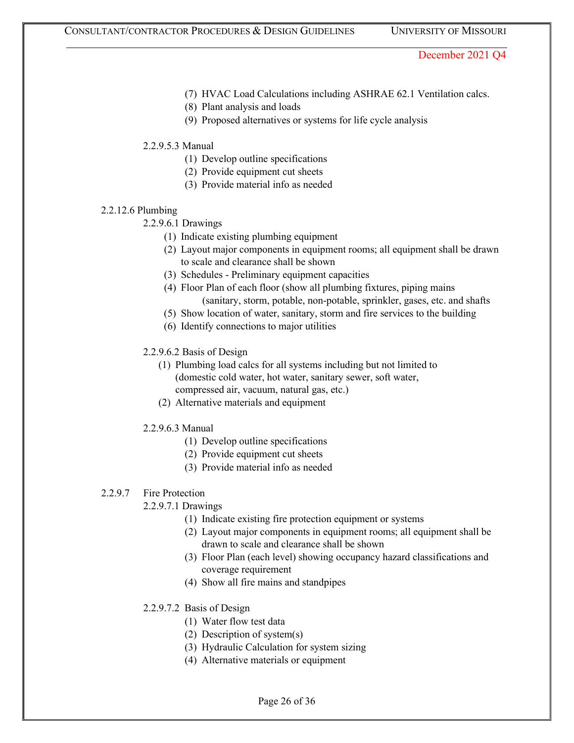- (7) HVAC Load Calculations including ASHRAE 62.1 Ventilation calcs.
- (8) Plant analysis and loads
- (9) Proposed alternatives or systems for life cycle analysis
- 2.2.9.5.3 Manual
	- (1) Develop outline specifications
	- (2) Provide equipment cut sheets
	- (3) Provide material info as needed

#### 2.2.12.6 Plumbing

2.2.9.6.1 Drawings

- (1) Indicate existing plumbing equipment
- (2) Layout major components in equipment rooms; all equipment shall be drawn to scale and clearance shall be shown
- (3) Schedules Preliminary equipment capacities
- (4) Floor Plan of each floor (show all plumbing fixtures, piping mains (sanitary, storm, potable, non-potable, sprinkler, gases, etc. and shafts
- (5) Show location of water, sanitary, storm and fire services to the building
- (6) Identify connections to major utilities

#### 2.2.9.6.2 Basis of Design

- (1) Plumbing load calcs for all systems including but not limited to (domestic cold water, hot water, sanitary sewer, soft water, compressed air, vacuum, natural gas, etc.)
- (2) Alternative materials and equipment
- 2.2.9.6.3 Manual
	- (1) Develop outline specifications
	- (2) Provide equipment cut sheets
	- (3) Provide material info as needed

### 2.2.9.7 Fire Protection

### 2.2.9.7.1 Drawings

- (1) Indicate existing fire protection equipment or systems
- (2) Layout major components in equipment rooms; all equipment shall be drawn to scale and clearance shall be shown
- (3) Floor Plan (each level) showing occupancy hazard classifications and coverage requirement
- (4) Show all fire mains and standpipes
- 2.2.9.7.2 Basis of Design
	- (1) Water flow test data
	- (2) Description of system(s)
	- (3) Hydraulic Calculation for system sizing
	- (4) Alternative materials or equipment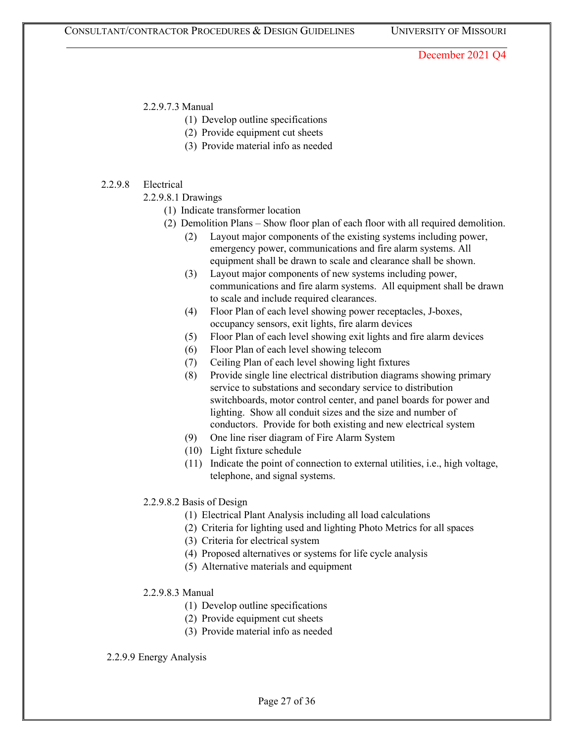2.2.9.7.3 Manual

- (1) Develop outline specifications
- (2) Provide equipment cut sheets
- (3) Provide material info as needed

### 2.2.9.8 Electrical

- 2.2.9.8.1 Drawings
	- (1) Indicate transformer location
	- (2) Demolition Plans Show floor plan of each floor with all required demolition.
		- (2) Layout major components of the existing systems including power, emergency power, communications and fire alarm systems. All equipment shall be drawn to scale and clearance shall be shown.
		- (3) Layout major components of new systems including power, communications and fire alarm systems. All equipment shall be drawn to scale and include required clearances.
		- (4) Floor Plan of each level showing power receptacles, J-boxes, occupancy sensors, exit lights, fire alarm devices
		- (5) Floor Plan of each level showing exit lights and fire alarm devices
		- (6) Floor Plan of each level showing telecom
		- (7) Ceiling Plan of each level showing light fixtures
		- (8) Provide single line electrical distribution diagrams showing primary service to substations and secondary service to distribution switchboards, motor control center, and panel boards for power and lighting. Show all conduit sizes and the size and number of conductors. Provide for both existing and new electrical system
		- (9) One line riser diagram of Fire Alarm System
		- (10) Light fixture schedule
		- (11) Indicate the point of connection to external utilities, i.e., high voltage, telephone, and signal systems.

### 2.2.9.8.2 Basis of Design

- (1) Electrical Plant Analysis including all load calculations
- (2) Criteria for lighting used and lighting Photo Metrics for all spaces
- (3) Criteria for electrical system
- (4) Proposed alternatives or systems for life cycle analysis
- (5) Alternative materials and equipment
- 2.2.9.8.3 Manual
	- (1) Develop outline specifications
	- (2) Provide equipment cut sheets
	- (3) Provide material info as needed

#### 2.2.9.9 Energy Analysis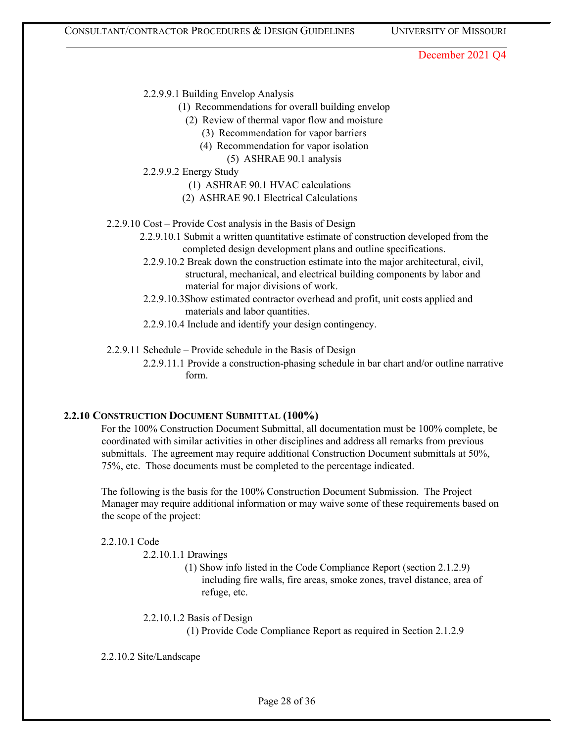- 2.2.9.9.1 Building Envelop Analysis
	- (1) Recommendations for overall building envelop
		- (2) Review of thermal vapor flow and moisture
			- (3) Recommendation for vapor barriers
			- (4) Recommendation for vapor isolation
				- (5) ASHRAE 90.1 analysis
- 2.2.9.9.2 Energy Study
	- (1) ASHRAE 90.1 HVAC calculations
	- (2) ASHRAE 90.1 Electrical Calculations
- 2.2.9.10 Cost Provide Cost analysis in the Basis of Design
	- 2.2.9.10.1 Submit a written quantitative estimate of construction developed from the completed design development plans and outline specifications.
	- 2.2.9.10.2 Break down the construction estimate into the major architectural, civil, structural, mechanical, and electrical building components by labor and material for major divisions of work.
	- 2.2.9.10.3Show estimated contractor overhead and profit, unit costs applied and materials and labor quantities.
	- 2.2.9.10.4 Include and identify your design contingency.

2.2.9.11 Schedule – Provide schedule in the Basis of Design

2.2.9.11.1 Provide a construction-phasing schedule in bar chart and/or outline narrative form.

### **2.2.10 CONSTRUCTION DOCUMENT SUBMITTAL (100%)**

For the 100% Construction Document Submittal, all documentation must be 100% complete, be coordinated with similar activities in other disciplines and address all remarks from previous submittals. The agreement may require additional Construction Document submittals at 50%, 75%, etc. Those documents must be completed to the percentage indicated.

The following is the basis for the 100% Construction Document Submission. The Project Manager may require additional information or may waive some of these requirements based on the scope of the project:

2.2.10.1 Code

2.2.10.1.1 Drawings

(1) Show info listed in the Code Compliance Report (section 2.1.2.9) including fire walls, fire areas, smoke zones, travel distance, area of refuge, etc.

2.2.10.1.2 Basis of Design

(1) Provide Code Compliance Report as required in Section 2.1.2.9

2.2.10.2 Site/Landscape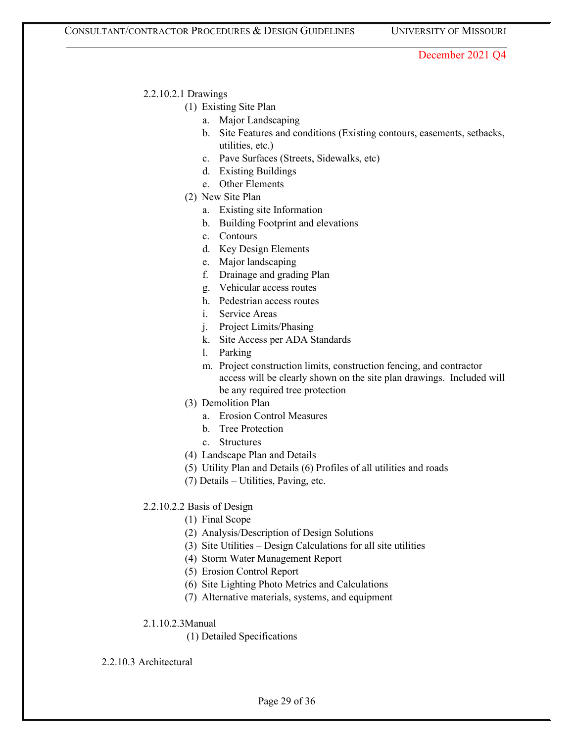### 2.2.10.2.1 Drawings

### (1) Existing Site Plan

- a. Major Landscaping
- b. Site Features and conditions (Existing contours, easements, setbacks, utilities, etc.)
- c. Pave Surfaces (Streets, Sidewalks, etc)
- d. Existing Buildings
- e. Other Elements
- (2) New Site Plan
	- a. Existing site Information
	- b. Building Footprint and elevations
	- c. Contours
	- d. Key Design Elements
	- e. Major landscaping
	- f. Drainage and grading Plan
	- g. Vehicular access routes
	- h. Pedestrian access routes
	- i. Service Areas
	- j. Project Limits/Phasing
	- k. Site Access per ADA Standards
	- l. Parking
	- m. Project construction limits, construction fencing, and contractor access will be clearly shown on the site plan drawings. Included will be any required tree protection
- (3) Demolition Plan
	- a. Erosion Control Measures
	- b. Tree Protection
	- c. Structures
- (4) Landscape Plan and Details
- (5) Utility Plan and Details (6) Profiles of all utilities and roads
- (7) Details Utilities, Paving, etc.

# 2.2.10.2.2 Basis of Design

- (1) Final Scope
- (2) Analysis/Description of Design Solutions
- (3) Site Utilities Design Calculations for all site utilities
- (4) Storm Water Management Report
- (5) Erosion Control Report
- (6) Site Lighting Photo Metrics and Calculations
- (7) Alternative materials, systems, and equipment
- 2.1.10.2.3Manual
	- (1) Detailed Specifications

### 2.2.10.3 Architectural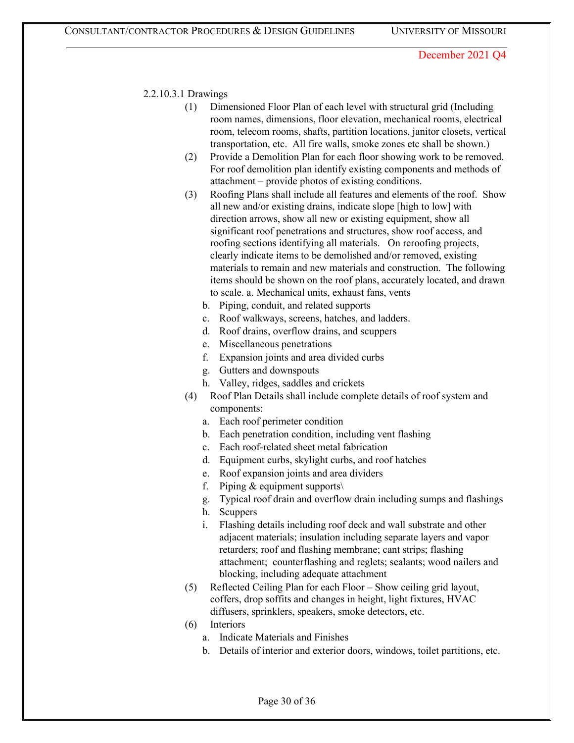### 2.2.10.3.1 Drawings

- (1) Dimensioned Floor Plan of each level with structural grid (Including room names, dimensions, floor elevation, mechanical rooms, electrical room, telecom rooms, shafts, partition locations, janitor closets, vertical transportation, etc. All fire walls, smoke zones etc shall be shown.)
- (2) Provide a Demolition Plan for each floor showing work to be removed. For roof demolition plan identify existing components and methods of attachment – provide photos of existing conditions.
- (3) Roofing Plans shall include all features and elements of the roof. Show all new and/or existing drains, indicate slope [high to low] with direction arrows, show all new or existing equipment, show all significant roof penetrations and structures, show roof access, and roofing sections identifying all materials. On reroofing projects, clearly indicate items to be demolished and/or removed, existing materials to remain and new materials and construction. The following items should be shown on the roof plans, accurately located, and drawn to scale. a. Mechanical units, exhaust fans, vents
	- b. Piping, conduit, and related supports
	- c. Roof walkways, screens, hatches, and ladders.
	- d. Roof drains, overflow drains, and scuppers
	- e. Miscellaneous penetrations
	- f. Expansion joints and area divided curbs
	- g. Gutters and downspouts
	- h. Valley, ridges, saddles and crickets
- (4) Roof Plan Details shall include complete details of roof system and components:
	- a. Each roof perimeter condition
	- b. Each penetration condition, including vent flashing
	- c. Each roof-related sheet metal fabrication
	- d. Equipment curbs, skylight curbs, and roof hatches
	- e. Roof expansion joints and area dividers
	- f. Piping  $&$  equipment supports\
	- g. Typical roof drain and overflow drain including sumps and flashings
	- h. Scuppers
	- i. Flashing details including roof deck and wall substrate and other adjacent materials; insulation including separate layers and vapor retarders; roof and flashing membrane; cant strips; flashing attachment; counterflashing and reglets; sealants; wood nailers and blocking, including adequate attachment
- (5) Reflected Ceiling Plan for each Floor Show ceiling grid layout, coffers, drop soffits and changes in height, light fixtures, HVAC diffusers, sprinklers, speakers, smoke detectors, etc.
- (6) Interiors
	- a. Indicate Materials and Finishes
	- b. Details of interior and exterior doors, windows, toilet partitions, etc.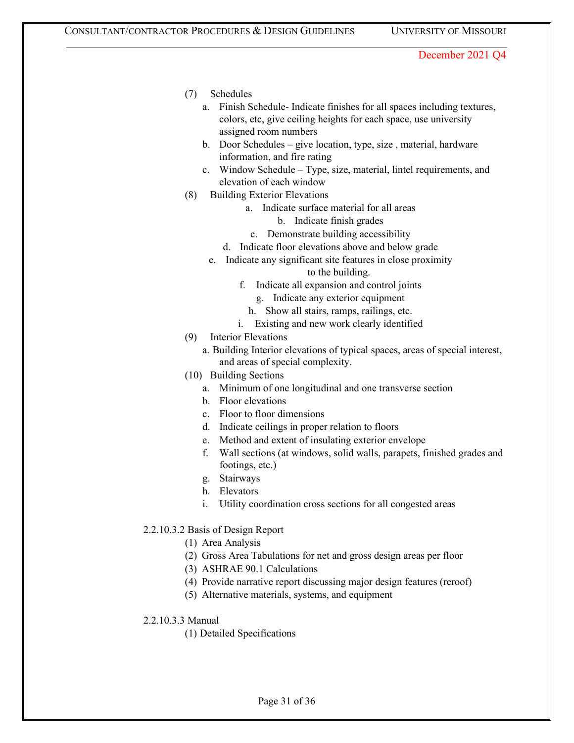- (7) Schedules
	- a. Finish Schedule- Indicate finishes for all spaces including textures, colors, etc, give ceiling heights for each space, use university assigned room numbers
	- b. Door Schedules give location, type, size , material, hardware information, and fire rating
	- c. Window Schedule Type, size, material, lintel requirements, and elevation of each window
- (8) Building Exterior Elevations
	- a. Indicate surface material for all areas
		- b. Indicate finish grades
		- c. Demonstrate building accessibility
	- d. Indicate floor elevations above and below grade
	- e. Indicate any significant site features in close proximity
		- to the building.
		- f. Indicate all expansion and control joints
			- g. Indicate any exterior equipment
			- h. Show all stairs, ramps, railings, etc.
		- i. Existing and new work clearly identified
- (9) Interior Elevations
	- a. Building Interior elevations of typical spaces, areas of special interest, and areas of special complexity.
- (10) Building Sections
	- a. Minimum of one longitudinal and one transverse section
	- b. Floor elevations
	- c. Floor to floor dimensions
	- d. Indicate ceilings in proper relation to floors
	- e. Method and extent of insulating exterior envelope
	- f. Wall sections (at windows, solid walls, parapets, finished grades and footings, etc.)
	- g. Stairways
	- h. Elevators
	- i. Utility coordination cross sections for all congested areas
- 2.2.10.3.2 Basis of Design Report
	- (1) Area Analysis
	- (2) Gross Area Tabulations for net and gross design areas per floor
	- (3) ASHRAE 90.1 Calculations
	- (4) Provide narrative report discussing major design features (reroof)
	- (5) Alternative materials, systems, and equipment
- 2.2.10.3.3 Manual
	- (1) Detailed Specifications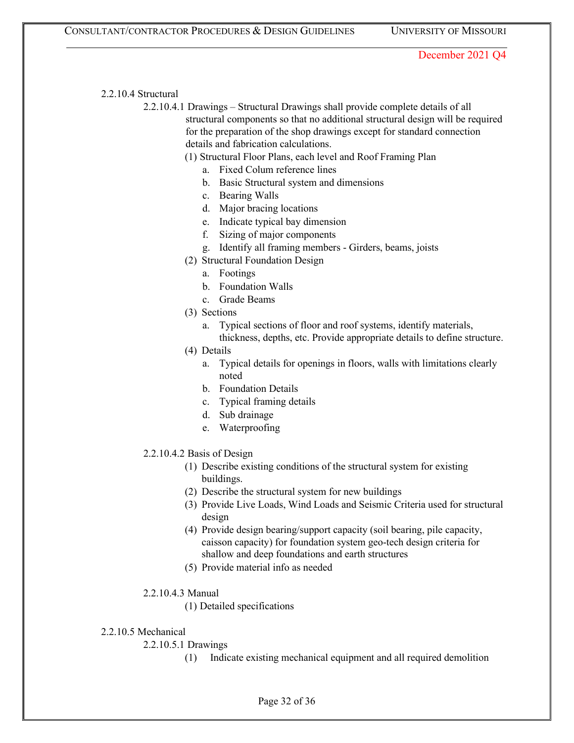#### 2.2.10.4 Structural

2.2.10.4.1 Drawings – Structural Drawings shall provide complete details of all structural components so that no additional structural design will be required for the preparation of the shop drawings except for standard connection details and fabrication calculations.

# (1) Structural Floor Plans, each level and Roof Framing Plan

- a. Fixed Colum reference lines
- b. Basic Structural system and dimensions
- c. Bearing Walls
- d. Major bracing locations
- e. Indicate typical bay dimension
- f. Sizing of major components
- g. Identify all framing members Girders, beams, joists
- (2) Structural Foundation Design
	- a. Footings
	- b. Foundation Walls
	- c. Grade Beams
- (3) Sections
	- a. Typical sections of floor and roof systems, identify materials, thickness, depths, etc. Provide appropriate details to define structure.
- (4) Details
	- a. Typical details for openings in floors, walls with limitations clearly noted
	- b. Foundation Details
	- c. Typical framing details
	- d. Sub drainage
	- e. Waterproofing

#### 2.2.10.4.2 Basis of Design

- (1) Describe existing conditions of the structural system for existing buildings.
- (2) Describe the structural system for new buildings
- (3) Provide Live Loads, Wind Loads and Seismic Criteria used for structural design
- (4) Provide design bearing/support capacity (soil bearing, pile capacity, caisson capacity) for foundation system geo-tech design criteria for shallow and deep foundations and earth structures
- (5) Provide material info as needed

### 2.2.10.4.3 Manual

(1) Detailed specifications

#### 2.2.10.5 Mechanical

# 2.2.10.5.1 Drawings

(1) Indicate existing mechanical equipment and all required demolition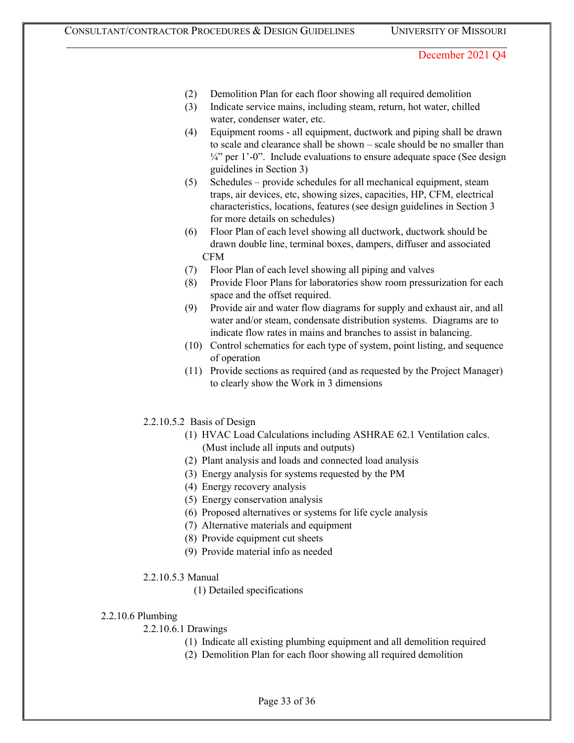- (2) Demolition Plan for each floor showing all required demolition
- (3) Indicate service mains, including steam, return, hot water, chilled water, condenser water, etc.
- (4) Equipment rooms all equipment, ductwork and piping shall be drawn to scale and clearance shall be shown – scale should be no smaller than  $\frac{1}{4}$ " per 1'-0". Include evaluations to ensure adequate space (See design guidelines in Section 3)
- (5) Schedules provide schedules for all mechanical equipment, steam traps, air devices, etc, showing sizes, capacities, HP, CFM, electrical characteristics, locations, features (see design guidelines in Section 3 for more details on schedules)
- (6) Floor Plan of each level showing all ductwork, ductwork should be drawn double line, terminal boxes, dampers, diffuser and associated CFM
- (7) Floor Plan of each level showing all piping and valves
- (8) Provide Floor Plans for laboratories show room pressurization for each space and the offset required.
- (9) Provide air and water flow diagrams for supply and exhaust air, and all water and/or steam, condensate distribution systems. Diagrams are to indicate flow rates in mains and branches to assist in balancing.
- (10) Control schematics for each type of system, point listing, and sequence of operation
- (11) Provide sections as required (and as requested by the Project Manager) to clearly show the Work in 3 dimensions
- 2.2.10.5.2 Basis of Design
	- (1) HVAC Load Calculations including ASHRAE 62.1 Ventilation calcs. (Must include all inputs and outputs)
	- (2) Plant analysis and loads and connected load analysis
	- (3) Energy analysis for systems requested by the PM
	- (4) Energy recovery analysis
	- (5) Energy conservation analysis
	- (6) Proposed alternatives or systems for life cycle analysis
	- (7) Alternative materials and equipment
	- (8) Provide equipment cut sheets
	- (9) Provide material info as needed
- 2.2.10.5.3 Manual
	- (1) Detailed specifications

### 2.2.10.6 Plumbing

- 2.2.10.6.1 Drawings
	- (1) Indicate all existing plumbing equipment and all demolition required
	- (2) Demolition Plan for each floor showing all required demolition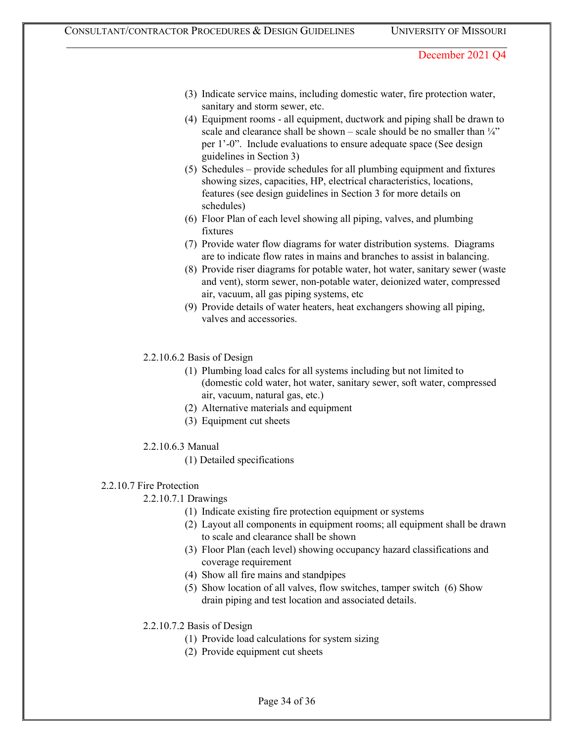- (3) Indicate service mains, including domestic water, fire protection water, sanitary and storm sewer, etc.
- (4) Equipment rooms all equipment, ductwork and piping shall be drawn to scale and clearance shall be shown – scale should be no smaller than  $\frac{1}{4}$ " per 1'-0". Include evaluations to ensure adequate space (See design guidelines in Section 3)
- (5) Schedules provide schedules for all plumbing equipment and fixtures showing sizes, capacities, HP, electrical characteristics, locations, features (see design guidelines in Section 3 for more details on schedules)
- (6) Floor Plan of each level showing all piping, valves, and plumbing fixtures
- (7) Provide water flow diagrams for water distribution systems. Diagrams are to indicate flow rates in mains and branches to assist in balancing.
- (8) Provide riser diagrams for potable water, hot water, sanitary sewer (waste and vent), storm sewer, non-potable water, deionized water, compressed air, vacuum, all gas piping systems, etc
- (9) Provide details of water heaters, heat exchangers showing all piping, valves and accessories.
- 2.2.10.6.2 Basis of Design
	- (1) Plumbing load calcs for all systems including but not limited to (domestic cold water, hot water, sanitary sewer, soft water, compressed air, vacuum, natural gas, etc.)
	- (2) Alternative materials and equipment
	- (3) Equipment cut sheets
- 2.2.10.6.3 Manual
	- (1) Detailed specifications

# 2.2.10.7 Fire Protection

- 2.2.10.7.1 Drawings
	- (1) Indicate existing fire protection equipment or systems
	- (2) Layout all components in equipment rooms; all equipment shall be drawn to scale and clearance shall be shown
	- (3) Floor Plan (each level) showing occupancy hazard classifications and coverage requirement
	- (4) Show all fire mains and standpipes
	- (5) Show location of all valves, flow switches, tamper switch (6) Show drain piping and test location and associated details.
- 2.2.10.7.2 Basis of Design
	- (1) Provide load calculations for system sizing
	- (2) Provide equipment cut sheets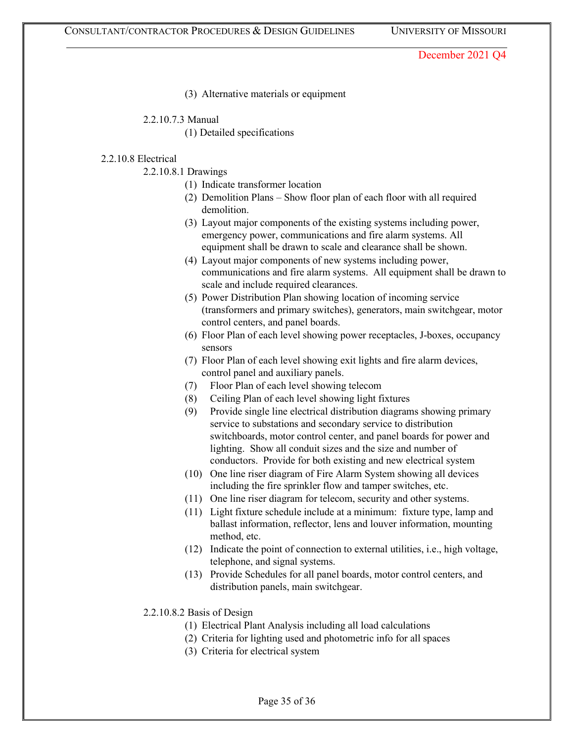(3) Alternative materials or equipment

2.2.10.7.3 Manual

(1) Detailed specifications

### 2.2.10.8 Electrical

2.2.10.8.1 Drawings

- (1) Indicate transformer location
- (2) Demolition Plans Show floor plan of each floor with all required demolition.
- (3) Layout major components of the existing systems including power, emergency power, communications and fire alarm systems. All equipment shall be drawn to scale and clearance shall be shown.
- (4) Layout major components of new systems including power, communications and fire alarm systems. All equipment shall be drawn to scale and include required clearances.
- (5) Power Distribution Plan showing location of incoming service (transformers and primary switches), generators, main switchgear, motor control centers, and panel boards.
- (6) Floor Plan of each level showing power receptacles, J-boxes, occupancy sensors
- (7) Floor Plan of each level showing exit lights and fire alarm devices, control panel and auxiliary panels.
- (7) Floor Plan of each level showing telecom
- (8) Ceiling Plan of each level showing light fixtures
- (9) Provide single line electrical distribution diagrams showing primary service to substations and secondary service to distribution switchboards, motor control center, and panel boards for power and lighting. Show all conduit sizes and the size and number of conductors. Provide for both existing and new electrical system
- (10) One line riser diagram of Fire Alarm System showing all devices including the fire sprinkler flow and tamper switches, etc.
- (11) One line riser diagram for telecom, security and other systems.
- (11) Light fixture schedule include at a minimum: fixture type, lamp and ballast information, reflector, lens and louver information, mounting method, etc.
- (12) Indicate the point of connection to external utilities, i.e., high voltage, telephone, and signal systems.
- (13) Provide Schedules for all panel boards, motor control centers, and distribution panels, main switchgear.
- 2.2.10.8.2 Basis of Design
	- (1) Electrical Plant Analysis including all load calculations
	- (2) Criteria for lighting used and photometric info for all spaces
	- (3) Criteria for electrical system